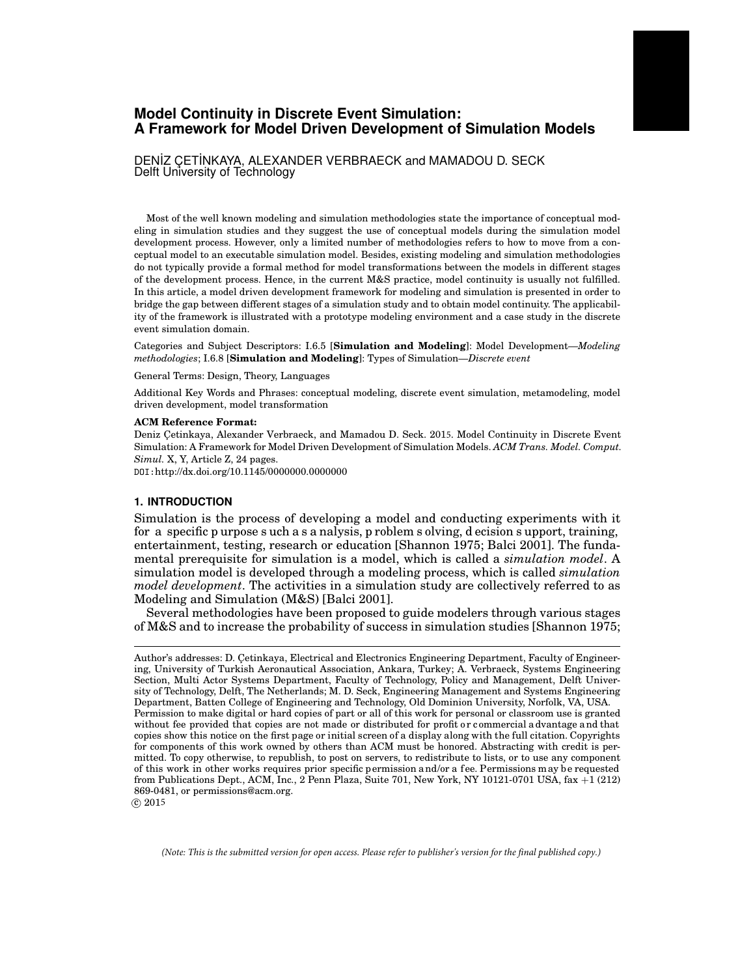# **Model Continuity in Discrete Event Simulation: A Framework for Model Driven Development of Simulation Models**

DENİZ ÇETİNKAYA, ALEXANDER VERBRAECK and MAMADOU D. SECK Delft University of Technology

Most of the well known modeling and simulation methodologies state the importance of conceptual modeling in simulation studies and they suggest the use of conceptual models during the simulation model development process. However, only a limited number of methodologies refers to how to move from a conceptual model to an executable simulation model. Besides, existing modeling and simulation methodologies do not typically provide a formal method for model transformations between the models in different stages of the development process. Hence, in the current M&S practice, model continuity is usually not fulfilled. In this article, a model driven development framework for modeling and simulation is presented in order to bridge the gap between different stages of a simulation study and to obtain model continuity. The applicability of the framework is illustrated with a prototype modeling environment and a case study in the discrete event simulation domain.

Categories and Subject Descriptors: I.6.5 [**Simulation and Modeling**]: Model Development—*Modeling methodologies*; I.6.8 [**Simulation and Modeling**]: Types of Simulation—*Discrete event*

General Terms: Design, Theory, Languages

Additional Key Words and Phrases: conceptual modeling, discrete event simulation, metamodeling, model driven development, model transformation

#### **ACM Reference Format:**

Deniz Çetinkaya, Alexander Verbraeck, and Mamadou D. Seck. 2015. Model Continuity in Discrete Event Simulation: A Framework for Model Driven Development of Simulation Models. *ACM Trans. Model. Comput. Simul.* X, Y, Article Z, 24 pages.

DOI:http://dx.doi.org/10.1145/0000000.0000000

#### **1. INTRODUCTION**

Simulation is the process of developing a model and conducting experiments with it for a specific p urpose s uch a s a nalysis, p roblem s olving, d ecision s upport, training, entertainment, testing, research or education [Shannon 1975; Balci 2001]. The fundamental prerequisite for simulation is a model, which is called a *simulation model*. A simulation model is developed through a modeling process, which is called *simulation model development*. The activities in a simulation study are collectively referred to as Modeling and Simulation (M&S) [Balci 2001].

Several methodologies have been proposed to guide modelers through various stages of M&S and to increase the probability of success in simulation studies [Shannon 1975;

*(Note: This is the submitted version for open access. Please refer to publisher's version for the final published copy.)*

Author's addresses: D. Cetinkaya, Electrical and Electronics Engineering Department, Faculty of Engineering, University of Turkish Aeronautical Association, Ankara, Turkey; A. Verbraeck, Systems Engineering Section, Multi Actor Systems Department, Faculty of Technology, Policy and Management, Delft University of Technology, Delft, The Netherlands; M. D. Seck, Engineering Management and Systems Engineering Department, Batten College of Engineering and Technology, Old Dominion University, Norfolk, VA, USA. Permission to make digital or hard copies of part or all of this work for personal or classroom use is granted without fee provided that copies are not made or distributed for profit or commercial a dvantage and that copies show this notice on the first page or initial screen of a display along with the full citation. Copyrights for components of this work owned by others than ACM must be honored. Abstracting with credit is permitted. To copy otherwise, to republish, to post on servers, to redistribute to lists, or to use any component of this work in other works requires prior specific permission and/or a fee. Permissions may be requested from Publications Dept., ACM, Inc., 2 Penn Plaza, Suite 701, New York, NY 10121-0701 USA, fax +1 (212) 869-0481, or permissions@acm.org.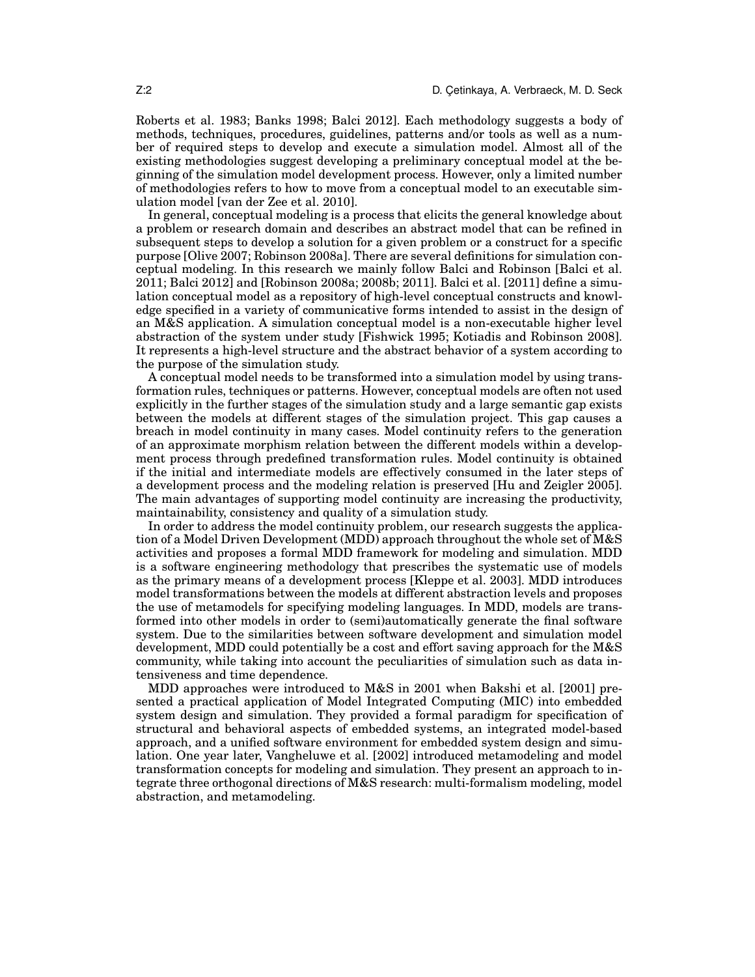Roberts et al. 1983; Banks 1998; Balci 2012]. Each methodology suggests a body of methods, techniques, procedures, guidelines, patterns and/or tools as well as a number of required steps to develop and execute a simulation model. Almost all of the existing methodologies suggest developing a preliminary conceptual model at the beginning of the simulation model development process. However, only a limited number of methodologies refers to how to move from a conceptual model to an executable simulation model [van der Zee et al. 2010].

In general, conceptual modeling is a process that elicits the general knowledge about a problem or research domain and describes an abstract model that can be refined in subsequent steps to develop a solution for a given problem or a construct for a specific purpose [Olive 2007; Robinson 2008a]. There are several definitions for simulation conceptual modeling. In this research we mainly follow Balci and Robinson [Balci et al. 2011; Balci 2012] and [Robinson 2008a; 2008b; 2011]. Balci et al. [2011] define a simulation conceptual model as a repository of high-level conceptual constructs and knowledge specified in a variety of communicative forms intended to assist in the design of an M&S application. A simulation conceptual model is a non-executable higher level abstraction of the system under study [Fishwick 1995; Kotiadis and Robinson 2008]. It represents a high-level structure and the abstract behavior of a system according to the purpose of the simulation study.

A conceptual model needs to be transformed into a simulation model by using transformation rules, techniques or patterns. However, conceptual models are often not used explicitly in the further stages of the simulation study and a large semantic gap exists between the models at different stages of the simulation project. This gap causes a breach in model continuity in many cases. Model continuity refers to the generation of an approximate morphism relation between the different models within a development process through predefined transformation rules. Model continuity is obtained if the initial and intermediate models are effectively consumed in the later steps of a development process and the modeling relation is preserved [Hu and Zeigler 2005]. The main advantages of supporting model continuity are increasing the productivity, maintainability, consistency and quality of a simulation study.

In order to address the model continuity problem, our research suggests the application of a Model Driven Development (MDD) approach throughout the whole set of M&S activities and proposes a formal MDD framework for modeling and simulation. MDD is a software engineering methodology that prescribes the systematic use of models as the primary means of a development process [Kleppe et al. 2003]. MDD introduces model transformations between the models at different abstraction levels and proposes the use of metamodels for specifying modeling languages. In MDD, models are transformed into other models in order to (semi)automatically generate the final software system. Due to the similarities between software development and simulation model development, MDD could potentially be a cost and effort saving approach for the M&S community, while taking into account the peculiarities of simulation such as data intensiveness and time dependence.

MDD approaches were introduced to M&S in 2001 when Bakshi et al. [2001] presented a practical application of Model Integrated Computing (MIC) into embedded system design and simulation. They provided a formal paradigm for specification of structural and behavioral aspects of embedded systems, an integrated model-based approach, and a unified software environment for embedded system design and simulation. One year later, Vangheluwe et al. [2002] introduced metamodeling and model transformation concepts for modeling and simulation. They present an approach to integrate three orthogonal directions of M&S research: multi-formalism modeling, model abstraction, and metamodeling.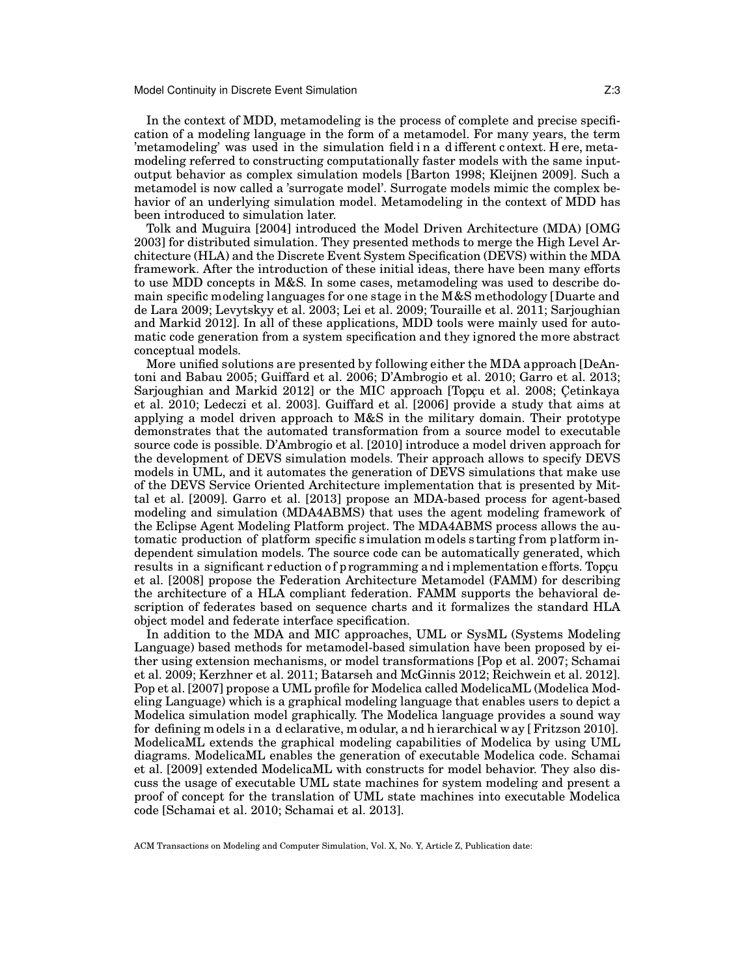In the context of MDD, metamodeling is the process of complete and precise specification of a modeling language in the form of a metamodel. For many years, the term 'metamodeling' was used in the simulation field i n a d ifferent c ontext. H ere, metamodeling referred to constructing computationally faster models with the same inputoutput behavior as complex simulation models [Barton 1998; Kleijnen 2009]. Such a metamodel is now called a 'surrogate model'. Surrogate models mimic the complex behavior of an underlying simulation model. Metamodeling in the context of MDD has been introduced to simulation later.

Tolk and Muguira [2004] introduced the Model Driven Architecture (MDA) [OMG 2003] for distributed simulation. They presented methods to merge the High Level Architecture (HLA) and the Discrete Event System Specification (DEVS) within the MDA framework. After the introduction of these initial ideas, there have been many efforts to use MDD concepts in M&S. In some cases, metamodeling was used to describe domain specific modeling languages for one stage in the M&S methodology [Duarte and de Lara 2009; Levytskyy et al. 2003; Lei et al. 2009; Touraille et al. 2011; Sarjoughian and Markid 2012]. In all of these applications, MDD tools were mainly used for automatic code generation from a system specification and they ignored the more abstract conceptual models.

More unified solutions are presented by following either the MDA approach [DeAntoni and Babau 2005; Guiffard et al. 2006; D'Ambrogio et al. 2010; Garro et al. 2013; Sarjoughian and Markid 2012] or the MIC approach [Topcu et al. 2008; Cetinkaya et al. 2010; Ledeczi et al. 2003]. Guiffard et al. [2006] provide a study that aims at applying a model driven approach to M&S in the military domain. Their prototype demonstrates that the automated transformation from a source model to executable source code is possible. D'Ambrogio et al. [2010] introduce a model driven approach for the development of DEVS simulation models. Their approach allows to specify DEVS models in UML, and it automates the generation of DEVS simulations that make use of the DEVS Service Oriented Architecture implementation that is presented by Mittal et al. [2009]. Garro et al. [2013] propose an MDA-based process for agent-based modeling and simulation (MDA4ABMS) that uses the agent modeling framework of the Eclipse Agent Modeling Platform project. The MDA4ABMS process allows the automatic production of platform specific simulation models starting from platform independent simulation models. The source code can be automatically generated, which results in a significant reduction of programming and implementation efforts. Topcu et al. [2008] propose the Federation Architecture Metamodel (FAMM) for describing the architecture of a HLA compliant federation. FAMM supports the behavioral description of federates based on sequence charts and it formalizes the standard HLA object model and federate interface specification.

In addition to the MDA and MIC approaches, UML or SysML (Systems Modeling Language) based methods for metamodel-based simulation have been proposed by either using extension mechanisms, or model transformations [Pop et al. 2007; Schamai et al. 2009; Kerzhner et al. 2011; Batarseh and McGinnis 2012; Reichwein et al. 2012]. Pop et al. [2007] propose a UML profile for Modelica called ModelicaML (Modelica Modeling Language) which is a graphical modeling language that enables users to depict a Modelica simulation model graphically. The Modelica language provides a sound way for defining m odels i n a d eclarative, m odular, a nd h ierarchical w ay [ Fritzson 2010]. ModelicaML extends the graphical modeling capabilities of Modelica by using UML diagrams. ModelicaML enables the generation of executable Modelica code. Schamai et al. [2009] extended ModelicaML with constructs for model behavior. They also discuss the usage of executable UML state machines for system modeling and present a proof of concept for the translation of UML state machines into executable Modelica code [Schamai et al. 2010; Schamai et al. 2013].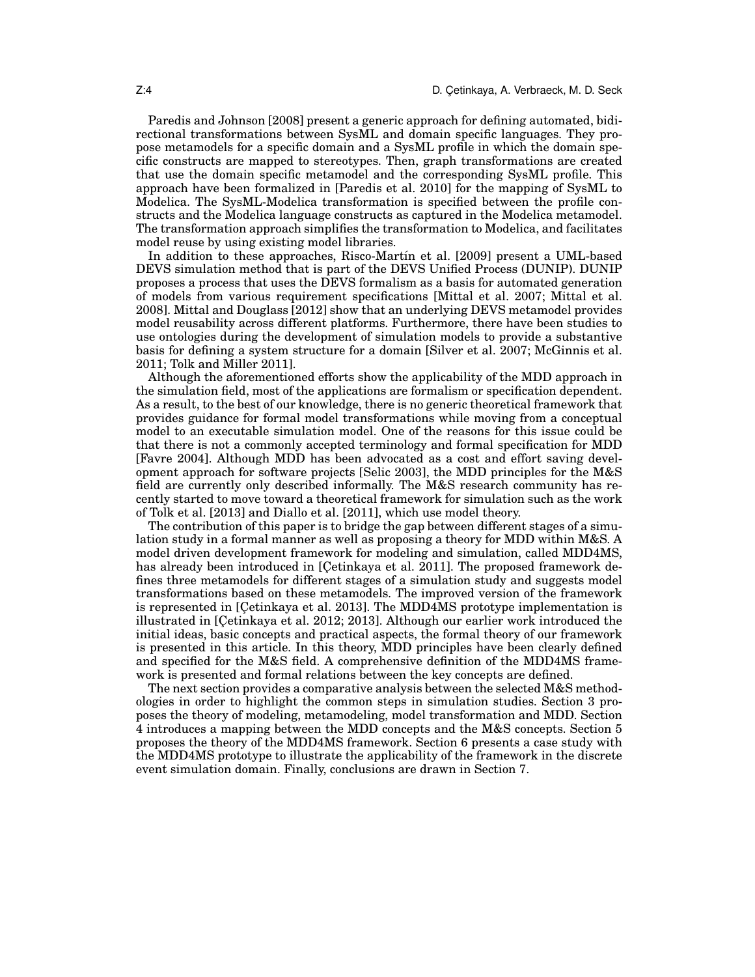Paredis and Johnson [2008] present a generic approach for defining automated, bidirectional transformations between SysML and domain specific languages. They propose metamodels for a specific domain and a SysML profile in which the domain specific constructs are mapped to stereotypes. Then, graph transformations are created that use the domain specific metamodel and the corresponding SysML profile. This approach have been formalized in [Paredis et al. 2010] for the mapping of SysML to Modelica. The SysML-Modelica transformation is specified between the profile constructs and the Modelica language constructs as captured in the Modelica metamodel. The transformation approach simplifies the transformation to Modelica, and facilitates model reuse by using existing model libraries.

In addition to these approaches, Risco-Martín et al. [2009] present a UML-based DEVS simulation method that is part of the DEVS Unified Process (DUNIP). DUNIP proposes a process that uses the DEVS formalism as a basis for automated generation of models from various requirement specifications [Mittal et al. 2007; Mittal et al. 2008]. Mittal and Douglass [2012] show that an underlying DEVS metamodel provides model reusability across different platforms. Furthermore, there have been studies to use ontologies during the development of simulation models to provide a substantive basis for defining a system structure for a domain [Silver et al. 2007; McGinnis et al. 2011; Tolk and Miller 2011].

Although the aforementioned efforts show the applicability of the MDD approach in the simulation field, most of the applications are formalism or specification dependent. As a result, to the best of our knowledge, there is no generic theoretical framework that provides guidance for formal model transformations while moving from a conceptual model to an executable simulation model. One of the reasons for this issue could be that there is not a commonly accepted terminology and formal specification for MDD [Favre 2004]. Although MDD has been advocated as a cost and effort saving development approach for software projects [Selic 2003], the MDD principles for the M&S field are currently only described informally. The M&S research community has recently started to move toward a theoretical framework for simulation such as the work of Tolk et al. [2013] and Diallo et al. [2011], which use model theory.

The contribution of this paper is to bridge the gap between different stages of a simulation study in a formal manner as well as proposing a theory for MDD within M&S. A model driven development framework for modeling and simulation, called MDD4MS, has already been introduced in [Cetinkaya et al. 2011]. The proposed framework defines three metamodels for different stages of a simulation study and suggests model transformations based on these metamodels. The improved version of the framework is represented in [Cetinkaya et al. 2013]. The MDD4MS prototype implementation is illustrated in [Cetinkaya et al. 2012; 2013]. Although our earlier work introduced the initial ideas, basic concepts and practical aspects, the formal theory of our framework is presented in this article. In this theory, MDD principles have been clearly defined and specified for the M&S field. A comprehensive definition of the MDD4MS framework is presented and formal relations between the key concepts are defined.

The next section provides a comparative analysis between the selected M&S methodologies in order to highlight the common steps in simulation studies. Section 3 proposes the theory of modeling, metamodeling, model transformation and MDD. Section 4 introduces a mapping between the MDD concepts and the M&S concepts. Section 5 proposes the theory of the MDD4MS framework. Section 6 presents a case study with the MDD4MS prototype to illustrate the applicability of the framework in the discrete event simulation domain. Finally, conclusions are drawn in Section 7.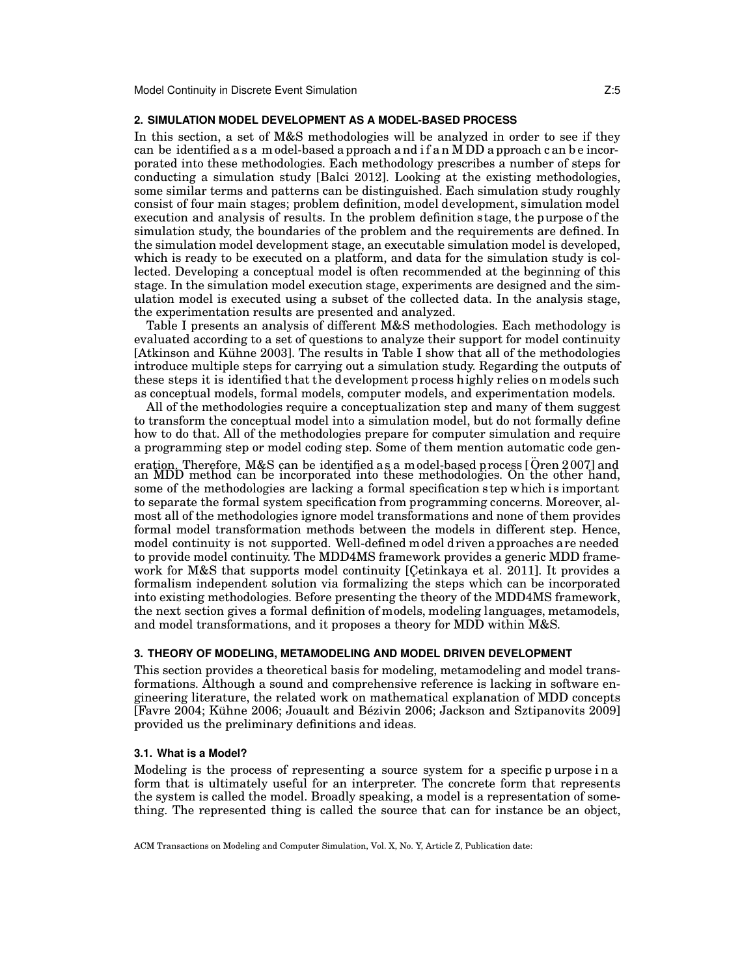### **2. SIMULATION MODEL DEVELOPMENT AS A MODEL-BASED PROCESS**

In this section, a set of M&S methodologies will be analyzed in order to see if they can be identified a s a m odel-based a pproach a nd i f a n M DD a pproach c an b e incorporated into these methodologies. Each methodology prescribes a number of steps for conducting a simulation study [Balci 2012]. Looking at the existing methodologies, some similar terms and patterns can be distinguished. Each simulation study roughly consist of four main stages; problem definition, model development, simulation model execution and analysis of results. In the problem definition stage, the purpose of the simulation study, the boundaries of the problem and the requirements are defined. In the simulation model development stage, an executable simulation model is developed, which is ready to be executed on a platform, and data for the simulation study is collected. Developing a conceptual model is often recommended at the beginning of this stage. In the simulation model execution stage, experiments are designed and the simulation model is executed using a subset of the collected data. In the analysis stage, the experimentation results are presented and analyzed.

Table I presents an analysis of different M&S methodologies. Each methodology is evaluated according to a set of questions to analyze their support for model continuity  $[Atkinson and Kühne 2003]$ . The results in Table I show that all of the methodologies introduce multiple steps for carrying out a simulation study. Regarding the outputs of these steps it is identified that the development process h ighly relies on models such as conceptual models, formal models, computer models, and experimentation models.

All of the methodologies require a conceptualization step and many of them suggest to transform the conceptual model into a simulation model, but do not formally define how to do that. All of the methodologies prepare for computer simulation and require a programming step or model coding step. Some of them mention automatic code generati<u>on.</u> Therefore, M&S can be identified as a model-based process [Ören 2007] and an MDD method can be incorporated into these methodologies. On the other hand, some of the methodologies are lacking a formal specification s tep which is important to separate the formal system specification from programming concerns. Moreover, almost all of the methodologies ignore model transformations and none of them provides formal model transformation methods between the models in different step. Hence, model continuity is not supported. Well-defined m odel d riven a pproaches a re needed to provide model continuity. The MDD4MS framework provides a generic MDD framework for M&S that supports model continuity [Cetinkaya et al. 2011]. It provides a formalism independent solution via formalizing the steps which can be incorporated into existing methodologies. Before presenting the theory of the MDD4MS framework, the next section gives a formal definition of models, modeling languages, metamodels, and model transformations, and it proposes a theory for MDD within M&S.

#### **3. THEORY OF MODELING, METAMODELING AND MODEL DRIVEN DEVELOPMENT**

This section provides a theoretical basis for modeling, metamodeling and model transformations. Although a sound and comprehensive reference is lacking in software engineering literature, the related work on mathematical explanation of MDD concepts [Favre 2004; Kühne 2006; Jouault and Bézivin 2006; Jackson and Sztipanovits 2009] provided us the preliminary definitions and ideas.

### **3.1. What is a Model?**

Modeling is the process of representing a source system for a specific p urpose i n a form that is ultimately useful for an interpreter. The concrete form that represents the system is called the model. Broadly speaking, a model is a representation of something. The represented thing is called the source that can for instance be an object,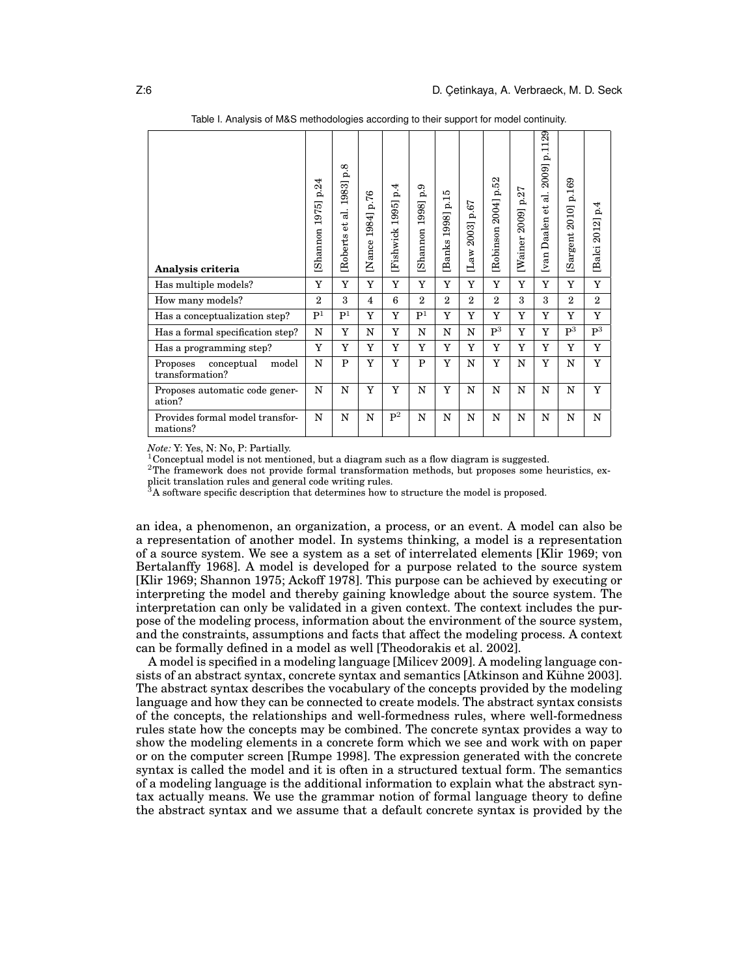| Analysis criteria                                  | p.24<br>1975]<br>Shannon | $\mathbf{p.8}$<br>1983]<br>ಡ<br>đ<br>Roberts | p.76<br>1984]<br>[Nance | p.4<br>1995]<br>Fishwick | 6.9<br>[Shannon 1998] | p.15<br>1998]<br>Banks | 2003] p.67<br>$\mathbf{Law}$ | $2004$ ] p.52<br>Robinson | p.27<br>2009]<br>[Wainer | 129<br>$\frac{1}{2}$<br>$2009$ ]<br>ನ<br>ď<br>Daalen<br>$[\text{van}]$ | p.169<br>[Sargent 2010] | p.4<br>Balci 2012] |
|----------------------------------------------------|--------------------------|----------------------------------------------|-------------------------|--------------------------|-----------------------|------------------------|------------------------------|---------------------------|--------------------------|------------------------------------------------------------------------|-------------------------|--------------------|
| Has multiple models?                               | Y                        | Y                                            | Y                       | Y                        | Y                     | Y                      | Y                            | Y                         | Y                        | Y                                                                      | Y                       | Y                  |
| How many models?                                   | $\overline{2}$           | $\mathbf{a}$                                 | $\overline{4}$          | 6                        | $\overline{2}$        | $\overline{2}$         | $\overline{2}$               | $\overline{2}$            | 3                        | 3                                                                      | $\overline{2}$          | $\overline{2}$     |
| Has a conceptualization step?                      | P <sup>1</sup>           | P <sup>1</sup>                               | Y                       | Y                        | P <sup>1</sup>        | Y                      | Y                            | Y                         | Y                        | Y                                                                      | Y                       | Y                  |
| Has a formal specification step?                   | N                        | Y                                            | N                       | Y                        | N                     | N                      | N                            | $P^3$                     | Y                        | Y                                                                      | $P^3$                   | $\mathbf{P}^3$     |
| Has a programming step?                            | Y                        | Y                                            | Y                       | Y                        | Y                     | Y                      | Y                            | Y                         | Y                        | Y                                                                      | Y                       | Y                  |
| conceptual<br>model<br>Proposes<br>transformation? | N                        | $\mathbf{P}$                                 | Y                       | Y                        | $\mathbf{P}$          | Y                      | N                            | Y                         | N                        | Y                                                                      | N                       | Y                  |
| Proposes automatic code gener-<br>ation?           | N                        | N                                            | Y                       | Y                        | N                     | Y                      | $\mathbf N$                  | N                         | $\mathbf N$              | $\mathbf N$                                                            | N                       | Y                  |
| Provides formal model transfor-<br>mations?        | N                        | N                                            | $\mathbf N$             | $P^2$                    | N                     | N                      | N                            | N                         | N                        | $\mathbf N$                                                            | N                       | N                  |

Table I. Analysis of M&S methodologies according to their support for model continuity.

*Note:* Y: Yes, N: No, P: Partially.

<sup>1</sup>Conceptual model is not mentioned, but a diagram such as a flow diagram is suggested.

<sup>2</sup>The framework does not provide formal transformation methods, but proposes some heuristics, explicit translation rules and general code writing rules.<br>
<sup>3</sup>A software graph<sup>2</sup> code writing rules.

<sup>3</sup>A software specific description that determines how to structure the model is proposed.

an idea, a phenomenon, an organization, a process, or an event. A model can also be a representation of another model. In systems thinking, a model is a representation of a source system. We see a system as a set of interrelated elements [Klir 1969; von Bertalanffy 1968]. A model is developed for a purpose related to the source system [Klir 1969; Shannon 1975; Ackoff 1978]. This purpose can be achieved by executing or interpreting the model and thereby gaining knowledge about the source system. The interpretation can only be validated in a given context. The context includes the purpose of the modeling process, information about the environment of the source system, and the constraints, assumptions and facts that affect the modeling process. A context can be formally defined in a model as well [Theodorakis et al. 2002].

A model is specified in a modeling language [Milicev 2009]. A modeling language consists of an abstract syntax, concrete syntax and semantics [Atkinson and Kühne 2003]. The abstract syntax describes the vocabulary of the concepts provided by the modeling language and how they can be connected to create models. The abstract syntax consists of the concepts, the relationships and well-formedness rules, where well-formedness rules state how the concepts may be combined. The concrete syntax provides a way to show the modeling elements in a concrete form which we see and work with on paper or on the computer screen [Rumpe 1998]. The expression generated with the concrete syntax is called the model and it is often in a structured textual form. The semantics of a modeling language is the additional information to explain what the abstract syntax actually means. We use the grammar notion of formal language theory to define the abstract syntax and we assume that a default concrete syntax is provided by the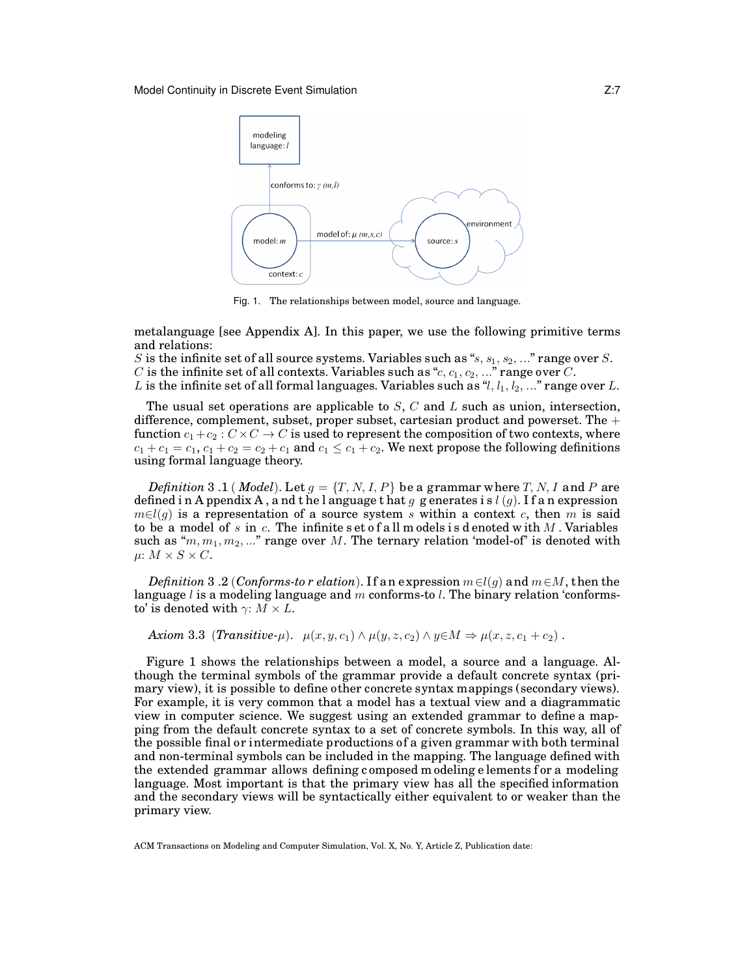

Fig. 1. The relationships between model, source and language.

metalanguage [see Appendix A]. In this paper, we use the following primitive terms and relations:

S is the infinite set of all source systems. Variables such as " $s, s_1, s_2, \ldots$ " range over S. C is the infinite set of all contexts. Variables such as " $c, c_1, c_2, \ldots$ " range over C.

L is the infinite set of all formal languages. Variables such as  $\mathcal{H}, l_1, l_2, \ldots$ " range over L.

The usual set operations are applicable to  $S$ ,  $C$  and  $L$  such as union, intersection, difference, complement, subset, proper subset, cartesian product and powerset. The  $+$ function  $c_1+c_2 : C \times C \to C$  is used to represent the composition of two contexts, where  $c_1 + c_1 = c_1$ ,  $c_1 + c_2 = c_2 + c_1$  and  $c_1 \leq c_1 + c_2$ . We next propose the following definitions using formal language theory.

*Definition* 3 .1 (*Model*). Let  $g = \{T, N, I, P\}$  be a grammar where T, N, I and P are defined in A ppendix A, a nd the l anguage that g g enerates is  $l(q)$ . If an expression  $m \in l(q)$  is a representation of a source system s within a context c, then m is said to be a model of s in c. The infinite set of all models is denoted with  $M$  . Variables such as " $m, m_1, m_2, ...$ " range over M. The ternary relation 'model-of' is denoted with  $\mu: M \times S \times C$ .

*Definition* 3 .2 (*Conforms-to r elation*). If an expression  $m \in l(q)$  and  $m \in M$ , then the language  $l$  is a modeling language and m conforms-to  $l$ . The binary relation 'conformsto' is denoted with  $\gamma: M \times L$ .

*Axiom* 3.3 (*Transitive-µ*).  $\mu(x, y, c_1) \wedge \mu(y, z, c_2) \wedge y \in M \Rightarrow \mu(x, z, c_1 + c_2)$ .

Figure 1 shows the relationships between a model, a source and a language. Although the terminal symbols of the grammar provide a default concrete syntax (primary view), it is possible to define other concrete syntax mappings (secondary views). For example, it is very common that a model has a textual view and a diagrammatic view in computer science. We suggest using an extended grammar to define a mapping from the default concrete syntax to a set of concrete symbols. In this way, all of the possible final or intermediate productions of a given grammar with both terminal and non-terminal symbols can be included in the mapping. The language defined with the extended grammar allows defining composed m odeling elements for a modeling language. Most important is that the primary view has all the specified information and the secondary views will be syntactically either equivalent to or weaker than the primary view.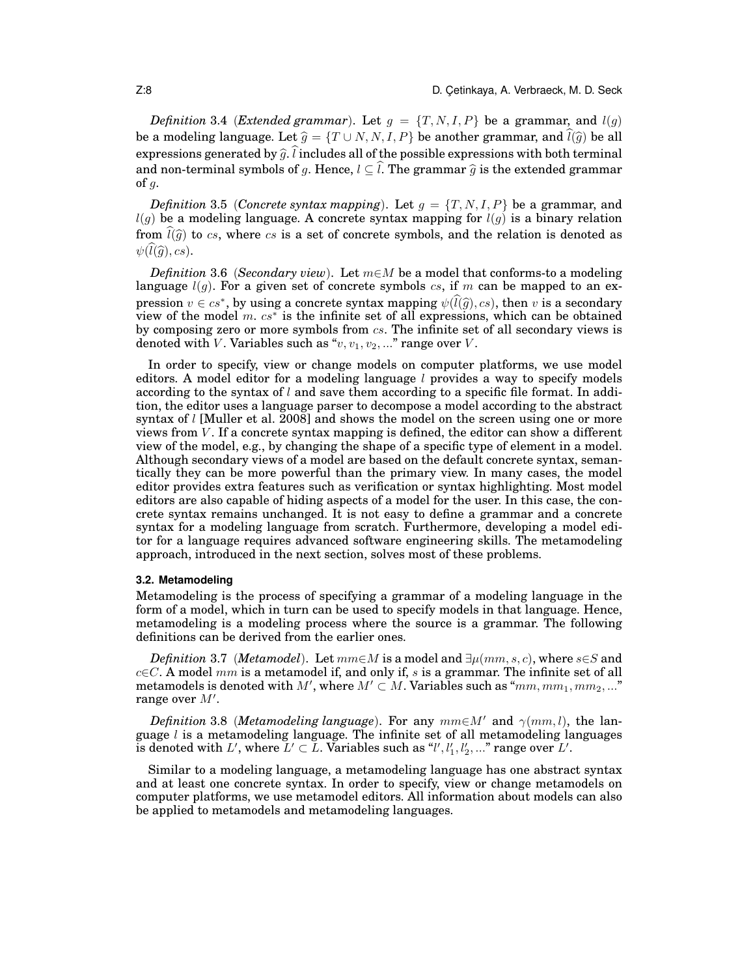*Definition* 3.4 (*Extended grammar*). Let  $g = \{T, N, I, P\}$  be a grammar, and  $l(g)$ be a modeling language. Let  $\widehat{g} = \{T \cup N, N, I, P\}$  be another grammar, and  $\widehat{l}(\widehat{g})$  be all expressions generated by  $\widehat{g}$ .  $\widehat{l}$  includes all of the possible expressions with both terminal and non-terminal symbols of g. Hence,  $l \subseteq \hat{l}$ . The grammar  $\hat{g}$  is the extended grammar of  $g$ .

*Definition* 3.5 (*Concrete syntax mapping*). Let  $g = \{T, N, I, P\}$  be a grammar, and  $l(q)$  be a modeling language. A concrete syntax mapping for  $l(q)$  is a binary relation from  $\widehat{l(\widehat{q})}$  to cs, where cs is a set of concrete symbols, and the relation is denoted as  $\psi(\widehat{l}(\widehat{q}), cs)$ .

*Definition* 3.6 (*Secondary view*). Let m∈M be a model that conforms-to a modeling language  $l(q)$ . For a given set of concrete symbols cs, if m can be mapped to an expression  $v \in cs^*$ , by using a concrete syntax mapping  $\psi(\hat{l}(\hat{g}), cs)$ , then v is a secondary<br>view of the model  $m \ c s^*$  is the infinite set of all expressions, which can be obtained view of the model m.  $cs^*$  is the infinite set of all expressions, which can be obtained by composing zero or more symbols from  $cs$ . The infinite set of all secondary views is denoted with V. Variables such as " $v, v_1, v_2, ...$ " range over V.

In order to specify, view or change models on computer platforms, we use model editors. A model editor for a modeling language  $l$  provides a way to specify models according to the syntax of  $l$  and save them according to a specific file format. In addition, the editor uses a language parser to decompose a model according to the abstract syntax of  $l$  [Muller et al. 2008] and shows the model on the screen using one or more views from  $V$ . If a concrete syntax mapping is defined, the editor can show a different view of the model, e.g., by changing the shape of a specific type of element in a model. Although secondary views of a model are based on the default concrete syntax, semantically they can be more powerful than the primary view. In many cases, the model editor provides extra features such as verification or syntax highlighting. Most model editors are also capable of hiding aspects of a model for the user. In this case, the concrete syntax remains unchanged. It is not easy to define a grammar and a concrete syntax for a modeling language from scratch. Furthermore, developing a model editor for a language requires advanced software engineering skills. The metamodeling approach, introduced in the next section, solves most of these problems.

### **3.2. Metamodeling**

Metamodeling is the process of specifying a grammar of a modeling language in the form of a model, which in turn can be used to specify models in that language. Hence, metamodeling is a modeling process where the source is a grammar. The following definitions can be derived from the earlier ones.

*Definition* 3.7 (*Metamodel*). Let  $mm \in M$  is a model and  $\exists \mu (mm, s, c)$ , where  $s \in S$  and  $c \in \mathbb{C}$ . A model mm is a metamodel if, and only if, s is a grammar. The infinite set of all metamodels is denoted with  $M'$ , where  $M'\subset M.$  Variables such as " $mm,mm_1,mm_2,...$  " range over  $M'$ .

*Definition* 3.8 (*Metamodeling language*). For any  $mm\in M'$  and  $\gamma(mm, l)$ , the language  $l$  is a metamodeling language. The infinite set of all metamodeling languages is denoted with  $L'$ , where  $L' \subset L$ . Variables such as " $l', l'_1, l'_2, ...$ " range over  $L'.$ 

Similar to a modeling language, a metamodeling language has one abstract syntax and at least one concrete syntax. In order to specify, view or change metamodels on computer platforms, we use metamodel editors. All information about models can also be applied to metamodels and metamodeling languages.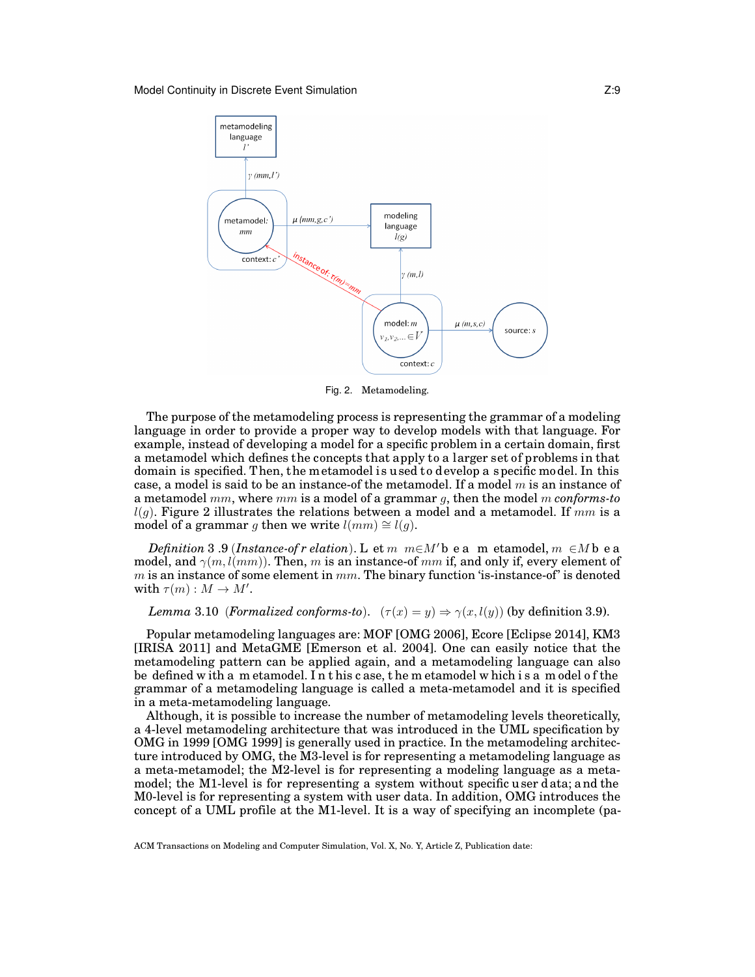

Fig. 2. Metamodeling.

model of a grammar g then we write  $l(mm) \cong l(g)$ . The purpose of the metamodeling process is representing the grammar of a modeling language in order to provide a proper way to develop models with that language. For example, instead of developing a model for a specific problem in a certain domain, first a metamodel which defines the concepts that apply to a larger set of problems in that domain is specified. Then, the metamodel is used to develop a specific model. In this case, a model is said to be an instance-of the metamodel. If a model  $m$  is an instance of a metamodel mm, where mm is a model of a grammar g, then the model m *conforms-to*  $l(q)$ . Figure 2 illustrates the relations between a model and a metamodel. If  $mm$  is a

*Definition* 3.9 (*Instance-of r elation*). L et  $m \text{ } m \in M'$ b e a m etamodel,  $m \in M$ b e a model, and  $\gamma(m, l(mm))$ . Then, m is an instance-of mm if, and only if, every element of  $m$  is an instance of some element in  $mm$ . The binary function 'is-instance-of' is denoted with  $\tau(m): M \to M'.$ 

### *Lemma* 3.10 *(Formalized conforms-to).*  $(\tau(x) = y) \Rightarrow \gamma(x, l(y))$  (by definition 3.9).

Popular metamodeling languages are: MOF [OMG 2006], Ecore [Eclipse 2014], KM3 [IRISA 2011] and MetaGME [Emerson et al. 2004]. One can easily notice that the metamodeling pattern can be applied again, and a metamodeling language can also be defined w ith a m etamodel. I n t his c ase, t he m etamodel w hich i s a m odel o f the grammar of a metamodeling language is called a meta-metamodel and it is specified in a meta-metamodeling language.

Although, it is possible to increase the number of metamodeling levels theoretically, a 4-level metamodeling architecture that was introduced in the UML specification by OMG in 1999 [OMG 1999] is generally used in practice. In the metamodeling architecture introduced by OMG, the M3-level is for representing a metamodeling language as a meta-metamodel; the M2-level is for representing a modeling language as a metamodel; the M1-level is for representing a system without specific u ser d ata; a nd the M0-level is for representing a system with user data. In addition, OMG introduces the concept of a UML profile at the M1-level. It is a way of specifying an incomplete (pa-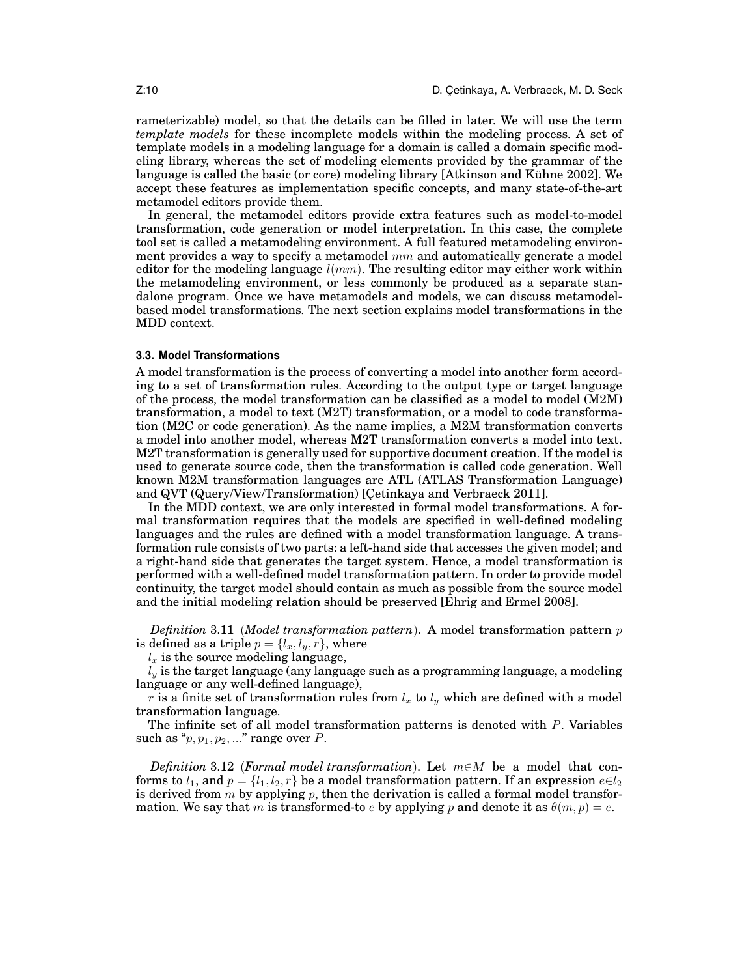rameterizable) model, so that the details can be filled in later. We will use the term *template models* for these incomplete models within the modeling process. A set of template models in a modeling language for a domain is called a domain specific modeling library, whereas the set of modeling elements provided by the grammar of the language is called the basic (or core) modeling library [Atkinson and Kühne 2002]. We accept these features as implementation specific concepts, and many state-of-the-art metamodel editors provide them.

In general, the metamodel editors provide extra features such as model-to-model transformation, code generation or model interpretation. In this case, the complete tool set is called a metamodeling environment. A full featured metamodeling environment provides a way to specify a metamodel  $mm$  and automatically generate a model editor for the modeling language  $l(mm)$ . The resulting editor may either work within the metamodeling environment, or less commonly be produced as a separate standalone program. Once we have metamodels and models, we can discuss metamodelbased model transformations. The next section explains model transformations in the MDD context.

### **3.3. Model Transformations**

A model transformation is the process of converting a model into another form according to a set of transformation rules. According to the output type or target language of the process, the model transformation can be classified as a model to model (M2M) transformation, a model to text (M2T) transformation, or a model to code transformation (M2C or code generation). As the name implies, a M2M transformation converts a model into another model, whereas M2T transformation converts a model into text. M2T transformation is generally used for supportive document creation. If the model is used to generate source code, then the transformation is called code generation. Well known M2M transformation languages are ATL (ATLAS Transformation Language) and QVT (Query/View/Transformation) [Cetinkaya and Verbraeck 2011].

In the MDD context, we are only interested in formal model transformations. A formal transformation requires that the models are specified in well-defined modeling languages and the rules are defined with a model transformation language. A transformation rule consists of two parts: a left-hand side that accesses the given model; and a right-hand side that generates the target system. Hence, a model transformation is performed with a well-defined model transformation pattern. In order to provide model continuity, the target model should contain as much as possible from the source model and the initial modeling relation should be preserved [Ehrig and Ermel 2008].

*Definition* 3.11 (*Model transformation pattern*). A model transformation pattern p is defined as a triple  $p = \{l_x, l_y, r\}$ , where

 $l_x$  is the source modeling language,

 $l_y$  is the target language (any language such as a programming language, a modeling language or any well-defined language),

r is a finite set of transformation rules from  $l_x$  to  $l_y$  which are defined with a model transformation language.

The infinite set of all model transformation patterns is denoted with P. Variables such as " $p, p_1, p_2, \ldots$ " range over  $P$ .

*Definition* 3.12 (*Formal model transformation*). Let m∈M be a model that conforms to  $l_1$ , and  $p = \{l_1, l_2, r\}$  be a model transformation pattern. If an expression  $e \in l_2$ is derived from m by applying p, then the derivation is called a formal model transformation. We say that m is transformed-to e by applying p and denote it as  $\theta(m, p) = e$ .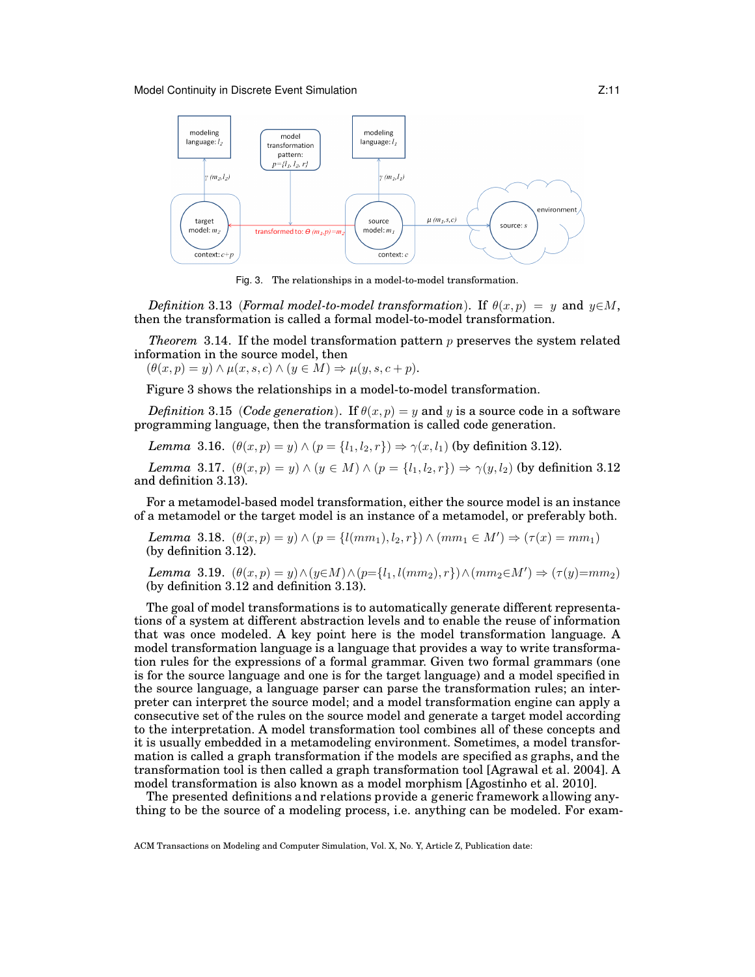#### Model Continuity in Discrete Event Simulation **Noting 1988** 2:11



Fig. 3. The relationships in a model-to-model transformation.

*Definition* 3.13 (*Formal model-to-model transformation*). If  $\theta(x, p) = y$  and  $y \in M$ , then the transformation is called a formal model-to-model transformation.

*Theorem* 3.14. If the model transformation pattern  $p$  preserves the system related information in the source model, then

 $(\theta(x, p) = y) \wedge \mu(x, s, c) \wedge (y \in M) \Rightarrow \mu(y, s, c + p).$ 

Figure 3 shows the relationships in a model-to-model transformation.

*Definition* 3.15 (*Code generation*). If  $\theta(x, p) = y$  and y is a source code in a software programming language, then the transformation is called code generation.

*Lemma* 3.16.  $(\theta(x, p) = y) \wedge (p = \{l_1, l_2, r\}) \Rightarrow \gamma(x, l_1)$  (by definition 3.12).

*Lemma* 3.17.  $(\theta(x, p) = y) \wedge (y \in M) \wedge (p = \{l_1, l_2, r\}) \Rightarrow \gamma(y, l_2)$  (by definition 3.12) and definition 3.13).

For a metamodel-based model transformation, either the source model is an instance of a metamodel or the target model is an instance of a metamodel, or preferably both.

*Lemma* 3.18.  $(\theta(x, p) = y) \wedge (p = \{l(mm_1), l_2, r\}) \wedge (mm_1 \in M') \Rightarrow (\tau(x) = mm_1)$ (by definition 3.12).

*Lemma* 3.19.  $(\theta(x, p) = y) \land (y \in M) \land (p = \{l_1, l(mm_2), r\}) \land (mm_2 \in M') \Rightarrow (\tau(y) = mm_2)$ (by definition 3.12 and definition 3.13).

The goal of model transformations is to automatically generate different representations of a system at different abstraction levels and to enable the reuse of information that was once modeled. A key point here is the model transformation language. A model transformation language is a language that provides a way to write transformation rules for the expressions of a formal grammar. Given two formal grammars (one is for the source language and one is for the target language) and a model specified in the source language, a language parser can parse the transformation rules; an interpreter can interpret the source model; and a model transformation engine can apply a consecutive set of the rules on the source model and generate a target model according to the interpretation. A model transformation tool combines all of these concepts and it is usually embedded in a metamodeling environment. Sometimes, a model transformation is called a graph transformation if the models are specified as graphs, and the transformation tool is then called a graph transformation tool [Agrawal et al. 2004]. A model transformation is also known as a model morphism [Agostinho et al. 2010].

The presented definitions and relations provide a generic framework a llowing anything to be the source of a modeling process, i.e. anything can be modeled. For exam-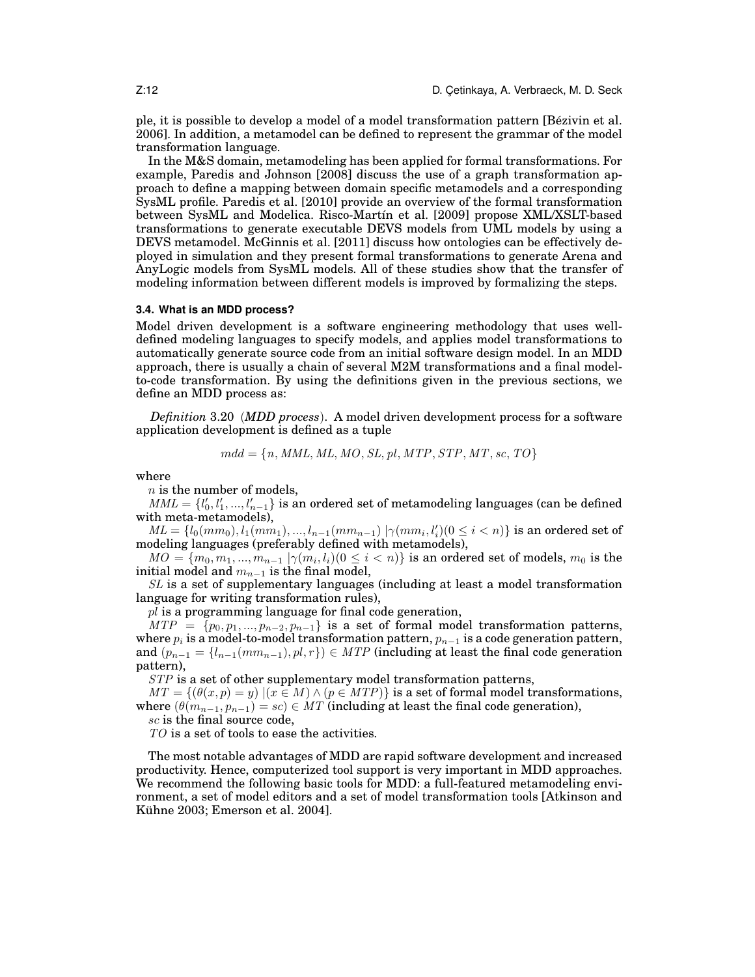ple, it is possible to develop a model of a model transformation pattern [Bézivin et al. 2006]. In addition, a metamodel can be defined to represent the grammar of the model transformation language.

In the M&S domain, metamodeling has been applied for formal transformations. For example, Paredis and Johnson [2008] discuss the use of a graph transformation approach to define a mapping between domain specific metamodels and a corresponding SysML profile. Paredis et al. [2010] provide an overview of the formal transformation between SysML and Modelica. Risco-Martín et al. [2009] propose XML/XSLT-based transformations to generate executable DEVS models from UML models by using a DEVS metamodel. McGinnis et al. [2011] discuss how ontologies can be effectively deployed in simulation and they present formal transformations to generate Arena and AnyLogic models from SysML models. All of these studies show that the transfer of modeling information between different models is improved by formalizing the steps.

### **3.4. What is an MDD process?**

Model driven development is a software engineering methodology that uses welldefined modeling languages to specify models, and applies model transformations to automatically generate source code from an initial software design model. In an MDD approach, there is usually a chain of several M2M transformations and a final modelto-code transformation. By using the definitions given in the previous sections, we define an MDD process as:

*Definition* 3.20 (*MDD process*). A model driven development process for a software application development is defined as a tuple

$$
mdd = \{n, \mathit{MML}, \mathit{ML}, \mathit{MO}, \mathit{SL}, \mathit{pl}, \mathit{MTP}, \mathit{STP}, \mathit{MT}, \mathit{sc}, \mathit{TO}\}
$$

where

 $n$  is the number of models,

 $MML = \{l'_0, l'_1, ..., l'_{n-1}\}$  is an ordered set of metamodeling languages (can be defined with meta-metamodels),

 $ML = \{l_0(mm_0), l_1(mm_1), ..., l_{n-1}(mm_{n-1}) | \gamma(mm_i, l'_i) (0 \leq i < n) \}$  is an ordered set of modeling languages (preferably defined with metamodels),

 $MO = \{m_0, m_1, ..., m_{n-1} \mid \gamma(m_i, l_i) (0 \leq i < n)\}$  is an ordered set of models,  $m_0$  is the initial model and  $m_{n-1}$  is the final model,

SL is a set of supplementary languages (including at least a model transformation language for writing transformation rules),

 $pl$  is a programming language for final code generation,

 $MTP = \{p_0, p_1, ..., p_{n-2}, p_{n-1}\}\$ is a set of formal model transformation patterns, where  $p_i$  is a model-to-model transformation pattern,  $p_{n-1}$  is a code generation pattern, and  $(p_{n-1} = \{l_{n-1}(mm_{n-1}), pl, r\}) \in MTP$  (including at least the final code generation pattern),

STP is a set of other supplementary model transformation patterns,

 $MT = \{(\theta(x, p) = y) | (x \in M) \land (p \in MTP)\}\$ is a set of formal model transformations, where  $(\theta(m_{n-1}, p_{n-1}) = sc) \in MT$  (including at least the final code generation), sc is the final source code,

TO is a set of tools to ease the activities.

The most notable advantages of MDD are rapid software development and increased productivity. Hence, computerized tool support is very important in MDD approaches. We recommend the following basic tools for MDD: a full-featured metamodeling environment, a set of model editors and a set of model transformation tools [Atkinson and Kühne 2003; Emerson et al. 2004].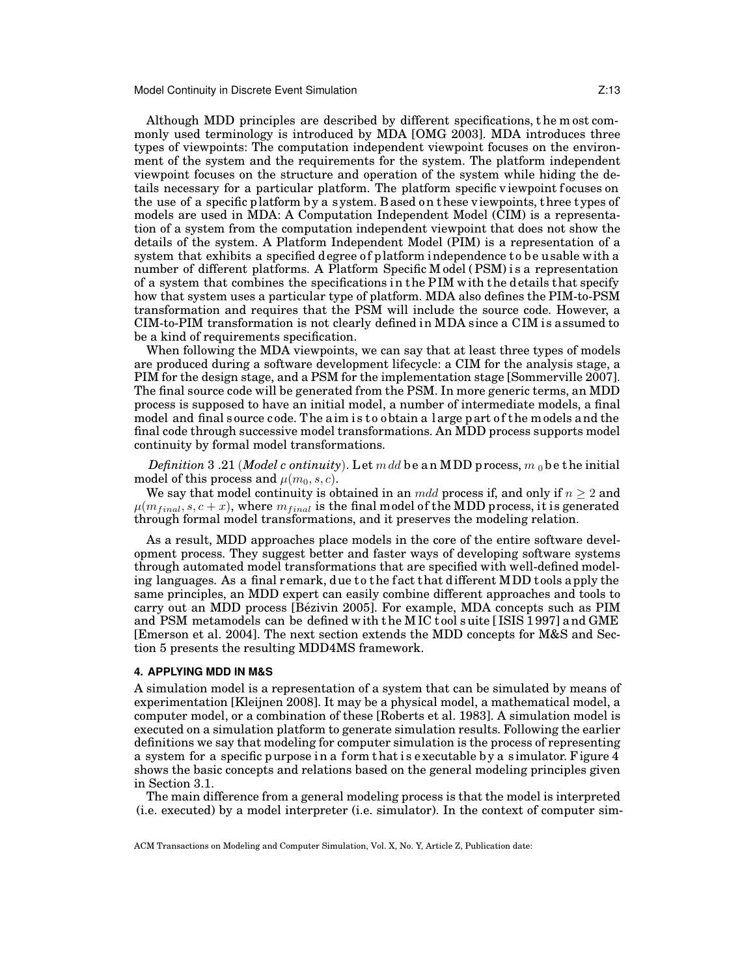Although MDD principles are described by different specifications, t he m ost commonly used terminology is introduced by MDA [OMG 2003]. MDA introduces three types of viewpoints: The computation independent viewpoint focuses on the environment of the system and the requirements for the system. The platform independent viewpoint focuses on the structure and operation of the system while hiding the details necessary for a particular platform. The platform specific v iewpoint focuses on the use of a specific p latform b y a s ystem. B ased o n t hese v iewpoints, t hree t ypes of models are used in MDA: A Computation Independent Model (CIM) is a representation of a system from the computation independent viewpoint that does not show the details of the system. A Platform Independent Model (PIM) is a representation of a system that exhibits a specified degree of platform independence to be usable with a number of different platforms. A Platform Specific M odel ( PSM) i s a representation of a system that combines the specifications in the P IM w ith the d etails that specify how that system uses a particular type of platform. MDA also defines the PIM-to-PSM transformation and requires that the PSM will include the source code. However, a CIM-to-PIM transformation is not clearly defined in MDA s ince a CIM is assumed to be a kind of requirements specification.

When following the MDA viewpoints, we can say that at least three types of models are produced during a software development lifecycle: a CIM for the analysis stage, a PIM for the design stage, and a PSM for the implementation stage [Sommerville 2007]. The final source code will be generated from the PSM. In more generic terms, an MDD process is supposed to have an initial model, a number of intermediate models, a final model and final source code. The aim is to obtain a large part of the models and the final code through successive model transformations. An MDD process supports model continuity by formal model transformations.

*Definition* 3 .21 (*Model c ontinuity*). Let m dd be an MDD process, m<sub>0</sub> be the initial model of this process and  $\mu(m_0, s, c)$ .

We say that model continuity is obtained in an  $mdd$  process if, and only if  $n \geq 2$  and  $\mu(m_{final}, s, c + x)$ , where  $m_{final}$  is the final model of the MDD process, it is generated through formal model transformations, and it preserves the modeling relation.

As a result, MDD approaches place models in the core of the entire software development process. They suggest better and faster ways of developing software systems through automated model transformations that are specified with well-defined modeling languages. As a final remark, due to the fact that different  $MDD$  tools a pply the same principles, an MDD expert can easily combine different approaches and tools to carry out an MDD process [Bézivin 2005]. For example, MDA concepts such as PIM and PSM metamodels can be defined w ith t he M IC t ool s uite [ ISIS 1 997] a nd GME [Emerson et al. 2004]. The next section extends the MDD concepts for M&S and Section 5 presents the resulting MDD4MS framework.

## **4. APPLYING MDD IN M&S**

A simulation model is a representation of a system that can be simulated by means of experimentation [Kleijnen 2008]. It may be a physical model, a mathematical model, a computer model, or a combination of these [Roberts et al. 1983]. A simulation model is executed on a simulation platform to generate simulation results. Following the earlier definitions we say that modeling for computer simulation is the process of representing a system for a specific purpose in a form that is executable by a simulator. Figure  $4$ shows the basic concepts and relations based on the general modeling principles given in Section 3.1.

The main difference from a general modeling process is that the model is interpreted (i.e. executed) by a model interpreter (i.e. simulator). In the context of computer sim-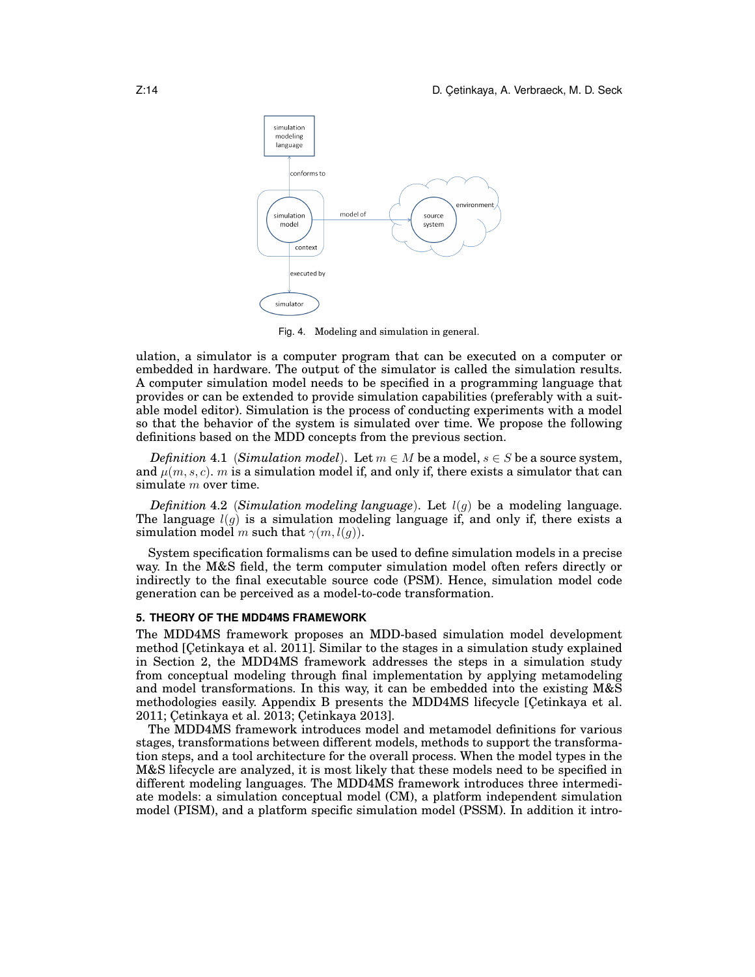

Fig. 4. Modeling and simulation in general.

ulation, a simulator is a computer program that can be executed on a computer or embedded in hardware. The output of the simulator is called the simulation results. A computer simulation model needs to be specified in a programming language that provides or can be extended to provide simulation capabilities (preferably with a suitable model editor). Simulation is the process of conducting experiments with a model so that the behavior of the system is simulated over time. We propose the following definitions based on the MDD concepts from the previous section.

*Definition* 4.1 (*Simulation model*). Let  $m \in M$  be a model,  $s \in S$  be a source system, and  $\mu(m, s, c)$ . m is a simulation model if, and only if, there exists a simulator that can simulate  $m$  over time.

*Definition* 4.2 *(Simulation modeling language)*. Let  $l(g)$  be a modeling language. The language  $l(q)$  is a simulation modeling language if, and only if, there exists a simulation model m such that  $\gamma(m, l(q))$ .

System specification formalisms can be used to define simulation models in a precise way. In the M&S field, the term computer simulation model often refers directly or indirectly to the final executable source code (PSM). Hence, simulation model code generation can be perceived as a model-to-code transformation.

## **5. THEORY OF THE MDD4MS FRAMEWORK**

The MDD4MS framework proposes an MDD-based simulation model development method [Cetinkaya et al. 2011]. Similar to the stages in a simulation study explained in Section 2, the MDD4MS framework addresses the steps in a simulation study from conceptual modeling through final implementation by applying metamodeling and model transformations. In this way, it can be embedded into the existing M&S methodologies easily. Appendix B presents the MDD4MS lifecycle [Cetinkaya et al. 2011; Cetinkaya et al. 2013; Cetinkaya 2013].

The MDD4MS framework introduces model and metamodel definitions for various stages, transformations between different models, methods to support the transformation steps, and a tool architecture for the overall process. When the model types in the M&S lifecycle are analyzed, it is most likely that these models need to be specified in different modeling languages. The MDD4MS framework introduces three intermediate models: a simulation conceptual model (CM), a platform independent simulation model (PISM), and a platform specific simulation model (PSSM). In addition it intro-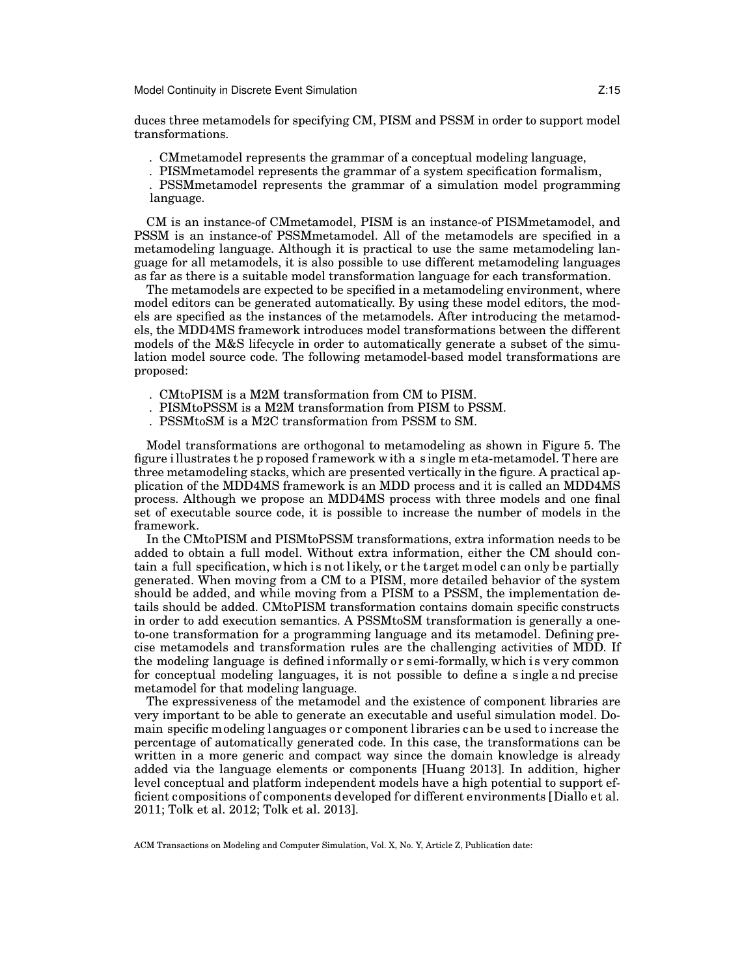#### Model Continuity in Discrete Event Simulation **Noting 1988** 2:15

duces three metamodels for specifying CM, PISM and PSSM in order to support model transformations.

*.* CMmetamodel represents the grammar of a conceptual modeling language,

*.* PISMmetamodel represents the grammar of a system specification formalism,

*.* PSSMmetamodel represents the grammar of a simulation model programming language.

CM is an instance-of CMmetamodel, PISM is an instance-of PISMmetamodel, and PSSM is an instance-of PSSMmetamodel. All of the metamodels are specified in a metamodeling language. Although it is practical to use the same metamodeling language for all metamodels, it is also possible to use different metamodeling languages as far as there is a suitable model transformation language for each transformation.

The metamodels are expected to be specified in a metamodeling environment, where model editors can be generated automatically. By using these model editors, the models are specified as the instances of the metamodels. After introducing the metamodels, the MDD4MS framework introduces model transformations between the different models of the M&S lifecycle in order to automatically generate a subset of the simulation model source code. The following metamodel-based model transformations are proposed:

*.* CMtoPISM is a M2M transformation from CM to PISM.

*.* PISMtoPSSM is a M2M transformation from PISM to PSSM.

*.* PSSMtoSM is a M2C transformation from PSSM to SM.

Model transformations are orthogonal to metamodeling as shown in Figure 5. The figure i llustrates t he p roposed f ramework w ith a s ingle m eta-metamodel. T here are three metamodeling stacks, which are presented vertically in the figure. A practical application of the MDD4MS framework is an MDD process and it is called an MDD4MS process. Although we propose an MDD4MS process with three models and one final set of executable source code, it is possible to increase the number of models in the framework.

In the CMtoPISM and PISMtoPSSM transformations, extra information needs to be added to obtain a full model. Without extra information, either the CM should contain a full specification, which is not likely, or the target model can only be partially generated. When moving from a CM to a PISM, more detailed behavior of the system should be added, and while moving from a PISM to a PSSM, the implementation details should be added. CMtoPISM transformation contains domain specific constructs in order to add execution semantics. A PSSMtoSM transformation is generally a oneto-one transformation for a programming language and its metamodel. Defining precise metamodels and transformation rules are the challenging activities of MDD. If the modeling language is defined informally or semi-formally, which is very common for conceptual modeling languages, it is not possible to define a s ingle a nd precise metamodel for that modeling language.

The expressiveness of the metamodel and the existence of component libraries are very important to be able to generate an executable and useful simulation model. Domain specific modeling languages or component libraries can be used to increase the percentage of automatically generated code. In this case, the transformations can be written in a more generic and compact way since the domain knowledge is already added via the language elements or components [Huang 2013]. In addition, higher level conceptual and platform independent models have a high potential to support efficient compositions of components developed for different environments [Diallo et al. 2011; Tolk et al. 2012; Tolk et al. 2013].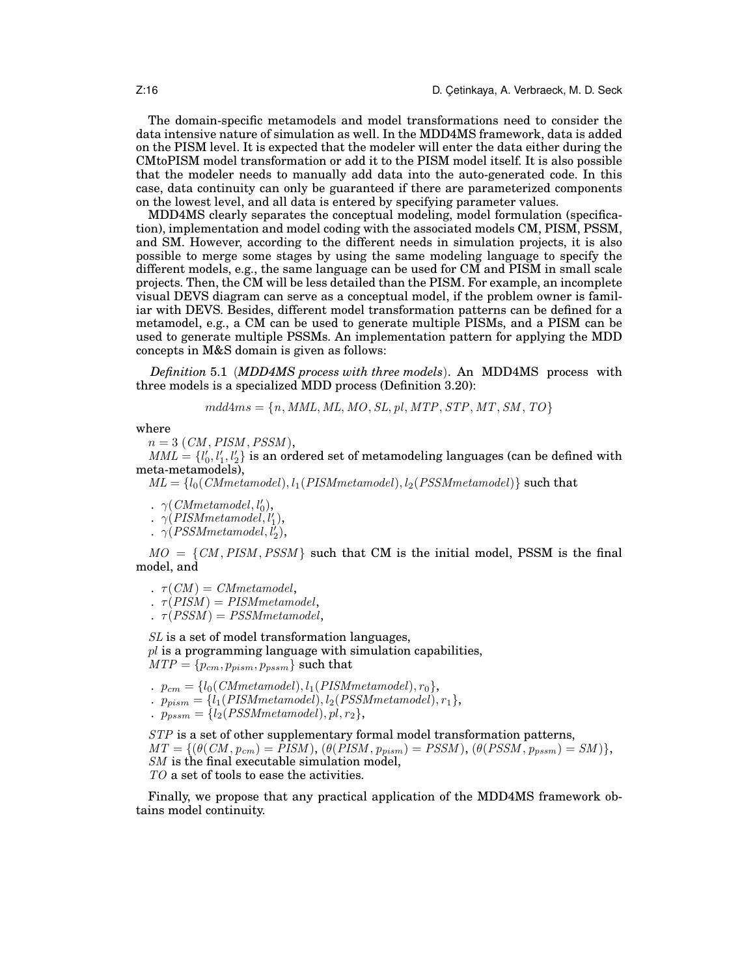The domain-specific metamodels and model transformations need to consider the data intensive nature of simulation as well. In the MDD4MS framework, data is added on the PISM level. It is expected that the modeler will enter the data either during the CMtoPISM model transformation or add it to the PISM model itself. It is also possible that the modeler needs to manually add data into the auto-generated code. In this case, data continuity can only be guaranteed if there are parameterized components on the lowest level, and all data is entered by specifying parameter values.

MDD4MS clearly separates the conceptual modeling, model formulation (specification), implementation and model coding with the associated models CM, PISM, PSSM, and SM. However, according to the different needs in simulation projects, it is also possible to merge some stages by using the same modeling language to specify the different models, e.g., the same language can be used for CM and PISM in small scale projects. Then, the CM will be less detailed than the PISM. For example, an incomplete visual DEVS diagram can serve as a conceptual model, if the problem owner is familiar with DEVS. Besides, different model transformation patterns can be defined for a metamodel, e.g., a CM can be used to generate multiple PISMs, and a PISM can be used to generate multiple PSSMs. An implementation pattern for applying the MDD concepts in M&S domain is given as follows:

*Definition* 5.1 (*MDD4MS process with three models*). An MDD4MS process with three models is a specialized MDD process (Definition 3.20):

 $mdd4ms = {n, MML, ML, MO, SL, pl, MTP, STP, MT, SM, TO}$ 

where

 $n = 3$  (CM, PISM, PSSM),

 $MML = \{l'_0, l'_1, l'_2\}$  is an ordered set of metamodeling languages (can be defined with meta-metamodels),

 $ML = \{l_0(CMmetamodel), l_1(PISMmetamodel), l_2(PSSMmetamodel)\}\$  such that

*.*  $\gamma$ (*CMmetamodel,l'*<sub>0</sub>),

 $\ldots \gamma$ (*PISMmetamodel*, $l_1'$ ),

 $\ldots \gamma (PSSMmetamodel, l'_2),$ 

 $MO = \{CM, PISM, PSSM\}$  such that CM is the initial model, PSSM is the final model, and

*.*  $\tau$ (*CM*) = *CMmetamodel*,

*.*  $\tau$ (*PISM*) = *PISMmetamodel*,

*.*  $\tau(PSSM) = PSSMmetamodel,$ 

SL is a set of model transformation languages,

 $pl$  is a programming language with simulation capabilities,  $MTP = \{p_{cm}, p_{pism}, p_{pssm}\}\$  such that

- *.*  $p_{cm} = \{l_0(CMmetamodel), l_1(PISMmetamodel), r_0\},$
- *.*  $p_{pism} = \{l_1(PISMmetamodel), l_2(PSSMmetamodel), r_1\},$
- $p_{pssm} = \{l_2(PSSMmetamodel), pl, r_2\},\$

STP is a set of other supplementary formal model transformation patterns,  $MT = \{(\theta(CM, p_{cm}) = PISM), (\theta(PISM, p_{pism}) = PSSM), (\theta(PSSM, p_{pssm}) = SM)\},$ SM is the final executable simulation model, TO a set of tools to ease the activities.

Finally, we propose that any practical application of the MDD4MS framework obtains model continuity.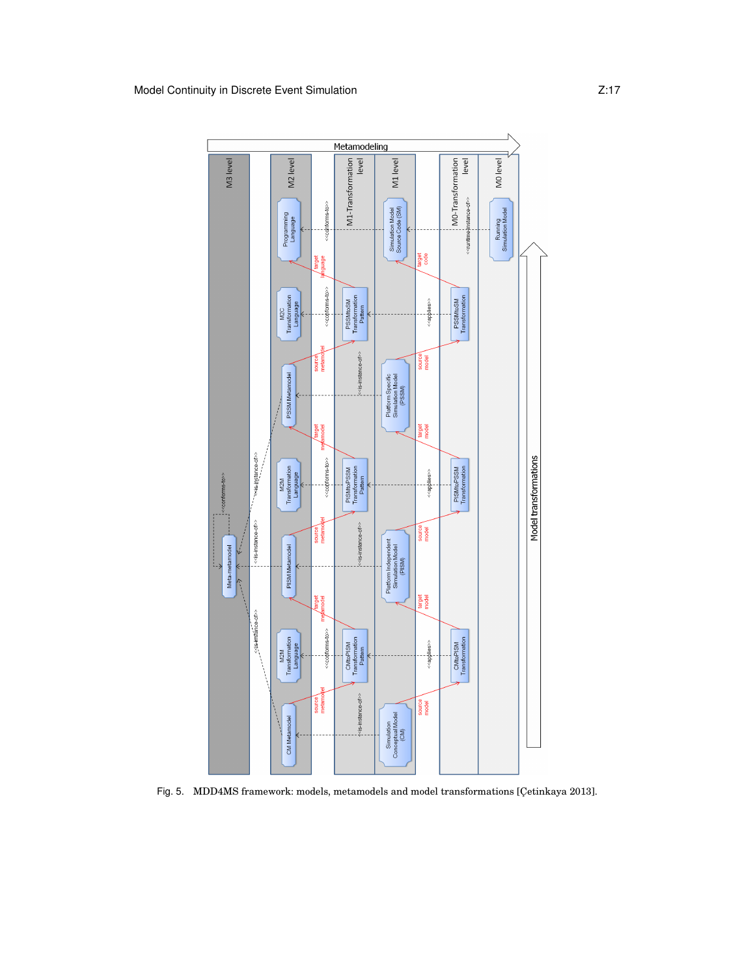

Fig. 5. MDD4MS framework: models, metamodels and model transformations [Çetinkaya 2013].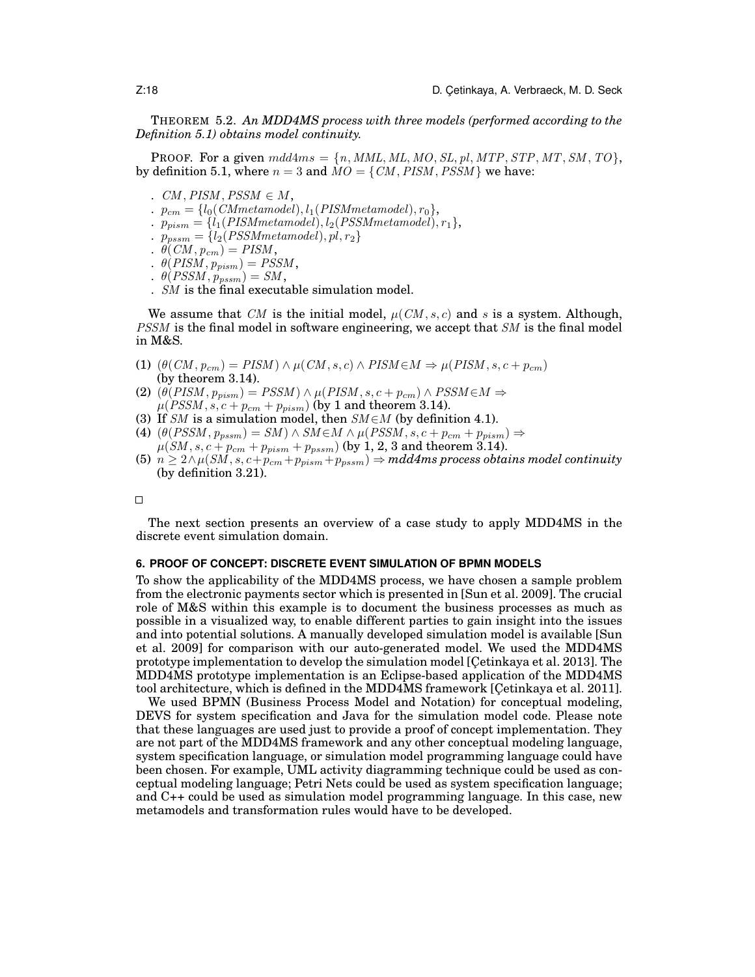THEOREM 5.2. *An MDD4MS process with three models (performed according to the Definition 5.1) obtains model continuity.*

**PROOF.** For a given  $mdd4ms = \{n, MML, ML, MO, SL, pl, MTP, STP, MT, SM, TO\},$ by definition 5.1, where  $n = 3$  and  $\dot{M}O = \{CM, PISM, PSSM\}$  we have:

- $CM, PISM, PSSM \in M$ ,
- $p_{cm} = \{l_0(CMmetamodel), l_1(PISMmetamodel), r_0\},\$
- $\therefore$   $p_{pism} = \{l_1(PISMmetamodel), l_2(PSSMmetamodel), r_1\},$
- *.*  $p_{pssm} = \{l_2(PSSMmetamodel), pl, r_2\}$
- $\theta$ (*CM*,  $p_{cm}$ ) = *PISM*,
- $\theta$ (PISM,  $p_{pism}$ ) = PSSM,
- $\theta(PSSM, p_{pssm}) = SM,$
- *.* SM is the final executable simulation model.

We assume that CM is the initial model,  $\mu$ (CM, s, c) and s is a system. Although, PSSM is the final model in software engineering, we accept that SM is the final model in M&S.

- (1)  $(\theta(CM, p_{cm}) = PISM) \wedge \mu(CM, s, c) \wedge PISM \in M \Rightarrow \mu(PISM, s, c + p_{cm})$ (by theorem 3.14).
- (2)  $(\theta(PISM, p_{pism}) = PSSM) \wedge \mu(PISM, s, c + p_{cm}) \wedge PSSM \in M \Rightarrow$  $\mu(PSSM, s, c + p_{cm} + p_{pism})$  (by 1 and theorem 3.14).
- (3) If SM is a simulation model, then  $SM \in M$  (by definition 4.1).
- (4)  $(\theta(PSSM, p_{pssm}) = SM) \wedge SM \in M \wedge \mu(PSSM, s, c + p_{cm} + p_{pism}) \Rightarrow$  $\mu(SM, s, c + p_{cm} + p_{pism} + p_{pstm})$  (by 1, 2, 3 and theorem 3.14).
- (5)  $n \geq 2 \wedge \mu(SM, s, c+p_{cm}+p_{pism}+p_{pstm}) \Rightarrow \text{mdd4ms process obtains model continuity}$ (by definition 3.21).

 $\Box$ 

The next section presents an overview of a case study to apply MDD4MS in the discrete event simulation domain.

## **6. PROOF OF CONCEPT: DISCRETE EVENT SIMULATION OF BPMN MODELS**

To show the applicability of the MDD4MS process, we have chosen a sample problem from the electronic payments sector which is presented in [Sun et al. 2009]. The crucial role of M&S within this example is to document the business processes as much as possible in a visualized way, to enable different parties to gain insight into the issues and into potential solutions. A manually developed simulation model is available [Sun et al. 2009] for comparison with our auto-generated model. We used the MDD4MS prototype implementation to develop the simulation model [Çetinkaya et al. 2013]. The MDD4MS prototype implementation is an Eclipse-based application of the MDD4MS tool architecture, which is defined in the MDD4MS framework [Cetinkaya et al. 2011].

We used BPMN (Business Process Model and Notation) for conceptual modeling, DEVS for system specification and Java for the simulation model code. Please note that these languages are used just to provide a proof of concept implementation. They are not part of the MDD4MS framework and any other conceptual modeling language, system specification language, or simulation model programming language could have been chosen. For example, UML activity diagramming technique could be used as conceptual modeling language; Petri Nets could be used as system specification language; and C++ could be used as simulation model programming language. In this case, new metamodels and transformation rules would have to be developed.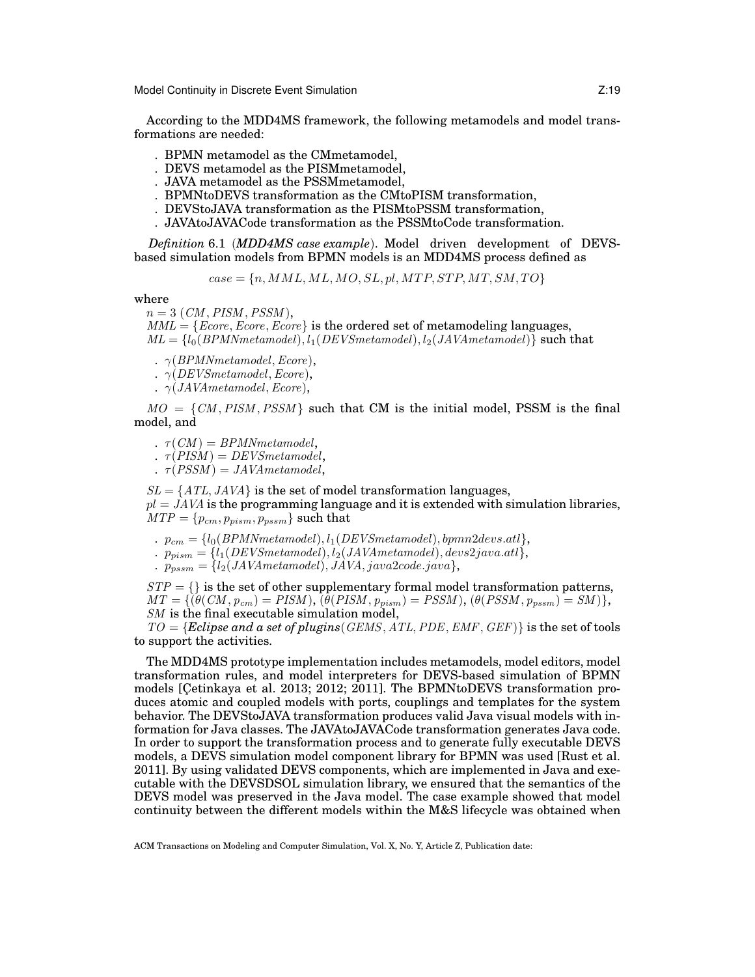Model Continuity in Discrete Event Simulation **Noting 1988** 2:19

According to the MDD4MS framework, the following metamodels and model transformations are needed:

- *.* BPMN metamodel as the CMmetamodel,
- *.* DEVS metamodel as the PISMmetamodel,
- *.* JAVA metamodel as the PSSMmetamodel,
- *.* BPMNtoDEVS transformation as the CMtoPISM transformation,
- *.* DEVStoJAVA transformation as the PISMtoPSSM transformation,
- *.* JAVAtoJAVACode transformation as the PSSMtoCode transformation.

*Definition* 6.1 (*MDD4MS case example*). Model driven development of DEVSbased simulation models from BPMN models is an MDD4MS process defined as

 $case = \{n, MML, ML, MO, SL, pl, MTP, STP, MT, SM, TO\}$ 

where

 $n = 3$  (CM, PISM, PSSM),

 $MML = \{Ecore, Ecore, Ecore\}$  is the ordered set of metamodeling languages,  $ML = \{l_0(BPMNmetamodel), l_1(BEVSmetamodel), l_2(JAVAmetamodel)\}$  such that

*.*  $\gamma$ (*BPMNmetamodel, Ecore*),

 $\ldots \gamma$ (*DEVSmetamodel*, *Ecore*),

*.*  $\gamma$ (*JAVAmetamodel*, *Ecore*),

 $MO = \{CM, PISM, PSSM\}$  such that CM is the initial model, PSSM is the final model, and

*.*  $\tau$ (CM) = BPMNmetamodel,

*.*  $\tau$ (*PISM*) = *DEVSmetamodel*,

*.*  $\tau$ (*PSSM*) = *JAVAmetamodel*,

 $SL = \{ATL, JAVA\}$  is the set of model transformation languages,  $pl = JAVA$  is the programming language and it is extended with simulation libraries,  $MTP = \{p_{cm}, p_{pism}, p_{pssm}\}\$  such that

 $p_{cm} = \{l_0(BPMNmetamodel), l_1(DEVSmetamodel), bpmn2devs.att\},\$ 

 $p_{mism} = \{l_1(DEVSmetamodel), l_2(JAVAmetamodel), devs2java.atl\}.$ 

 $\hat{p}_{p,sym} = \{l_2(JAVAmetamodel), JAVA, java 2code.java\},\$ 

 $STP = \{\}$  is the set of other supplementary formal model transformation patterns,  $MT = \{(\theta(CM, p_{cm}) = PISM), (\theta(PISM, p_{pism}) = PSSM), (\theta(PSSM, p_{pssm}) = SM)\},$ SM is the final executable simulation model,

 $TO = {Eclipse}$  and a set of plugins(GEMS, ATL, PDE, EMF, GEF) is the set of tools to support the activities.

The MDD4MS prototype implementation includes metamodels, model editors, model transformation rules, and model interpreters for DEVS-based simulation of BPMN models [Cetinkaya et al. 2013; 2012; 2011]. The BPMNtoDEVS transformation produces atomic and coupled models with ports, couplings and templates for the system behavior. The DEVStoJAVA transformation produces valid Java visual models with information for Java classes. The JAVAtoJAVACode transformation generates Java code. In order to support the transformation process and to generate fully executable DEVS models, a DEVS simulation model component library for BPMN was used [Rust et al. 2011]. By using validated DEVS components, which are implemented in Java and executable with the DEVSDSOL simulation library, we ensured that the semantics of the DEVS model was preserved in the Java model. The case example showed that model continuity between the different models within the M&S lifecycle was obtained when

ACM Transactions on Modeling and Computer Simulation, Vol. X, No. Y, Article Z, Publication date: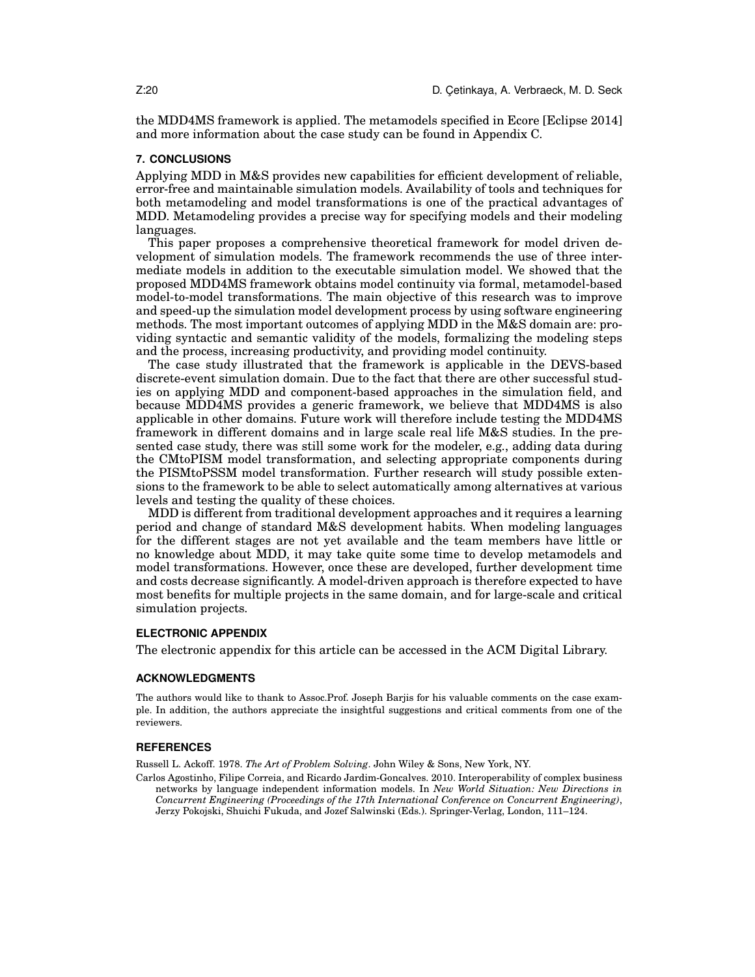the MDD4MS framework is applied. The metamodels specified in Ecore [Eclipse 2014] and more information about the case study can be found in Appendix C.

#### **7. CONCLUSIONS**

Applying MDD in M&S provides new capabilities for efficient development of reliable, error-free and maintainable simulation models. Availability of tools and techniques for both metamodeling and model transformations is one of the practical advantages of MDD. Metamodeling provides a precise way for specifying models and their modeling languages.

This paper proposes a comprehensive theoretical framework for model driven development of simulation models. The framework recommends the use of three intermediate models in addition to the executable simulation model. We showed that the proposed MDD4MS framework obtains model continuity via formal, metamodel-based model-to-model transformations. The main objective of this research was to improve and speed-up the simulation model development process by using software engineering methods. The most important outcomes of applying MDD in the M&S domain are: providing syntactic and semantic validity of the models, formalizing the modeling steps and the process, increasing productivity, and providing model continuity.

The case study illustrated that the framework is applicable in the DEVS-based discrete-event simulation domain. Due to the fact that there are other successful studies on applying MDD and component-based approaches in the simulation field, and because MDD4MS provides a generic framework, we believe that MDD4MS is also applicable in other domains. Future work will therefore include testing the MDD4MS framework in different domains and in large scale real life M&S studies. In the presented case study, there was still some work for the modeler, e.g., adding data during the CMtoPISM model transformation, and selecting appropriate components during the PISMtoPSSM model transformation. Further research will study possible extensions to the framework to be able to select automatically among alternatives at various levels and testing the quality of these choices.

MDD is different from traditional development approaches and it requires a learning period and change of standard M&S development habits. When modeling languages for the different stages are not yet available and the team members have little or no knowledge about MDD, it may take quite some time to develop metamodels and model transformations. However, once these are developed, further development time and costs decrease significantly. A model-driven approach is therefore expected to have most benefits for multiple projects in the same domain, and for large-scale and critical simulation projects.

#### **ELECTRONIC APPENDIX**

The electronic appendix for this article can be accessed in the ACM Digital Library.

#### **ACKNOWLEDGMENTS**

The authors would like to thank to Assoc.Prof. Joseph Barjis for his valuable comments on the case example. In addition, the authors appreciate the insightful suggestions and critical comments from one of the reviewers.

#### **REFERENCES**

Russell L. Ackoff. 1978. *The Art of Problem Solving*. John Wiley & Sons, New York, NY.

Carlos Agostinho, Filipe Correia, and Ricardo Jardim-Goncalves. 2010. Interoperability of complex business networks by language independent information models. In *New World Situation: New Directions in Concurrent Engineering (Proceedings of the 17th International Conference on Concurrent Engineering)*, Jerzy Pokojski, Shuichi Fukuda, and Jozef Salwinski (Eds.). Springer-Verlag, London, 111–124.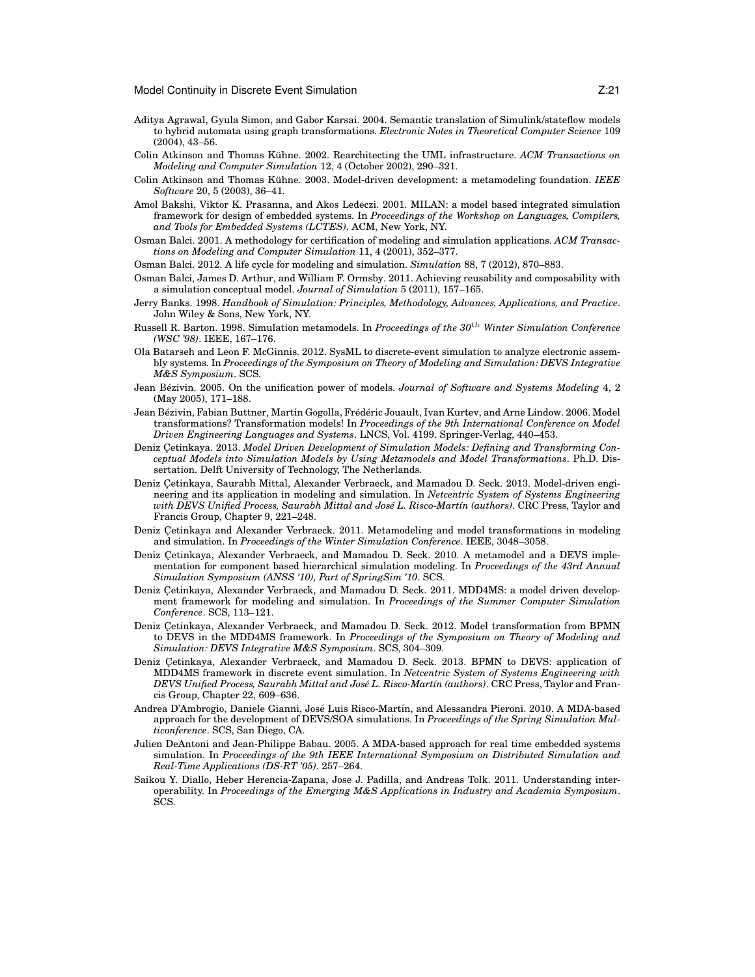- Aditya Agrawal, Gyula Simon, and Gabor Karsai. 2004. Semantic translation of Simulink/stateflow models to hybrid automata using graph transformations. *Electronic Notes in Theoretical Computer Science* 109 (2004), 43–56.
- Colin Atkinson and Thomas Kühne. 2002. Rearchitecting the UML infrastructure. ACM Transactions on *Modeling and Computer Simulation* 12, 4 (October 2002), 290–321.
- Colin Atkinson and Thomas Kühne. 2003. Model-driven development: a metamodeling foundation. IEEE *Software* 20, 5 (2003), 36–41.
- Amol Bakshi, Viktor K. Prasanna, and Akos Ledeczi. 2001. MILAN: a model based integrated simulation framework for design of embedded systems. In *Proceedings of the Workshop on Languages, Compilers, and Tools for Embedded Systems (LCTES)*. ACM, New York, NY.
- Osman Balci. 2001. A methodology for certification of modeling and simulation applications. *ACM Transactions on Modeling and Computer Simulation* 11, 4 (2001), 352–377.
- Osman Balci. 2012. A life cycle for modeling and simulation. *Simulation* 88, 7 (2012), 870–883.
- Osman Balci, James D. Arthur, and William F. Ormsby. 2011. Achieving reusability and composability with a simulation conceptual model. *Journal of Simulation* 5 (2011), 157–165.
- Jerry Banks. 1998. *Handbook of Simulation: Principles, Methodology, Advances, Applications, and Practice*. John Wiley & Sons, New York, NY.
- Russell R. Barton. 1998. Simulation metamodels. In *Proceedings of the 30*th *Winter Simulation Conference (WSC '98)*. IEEE, 167–176.
- Ola Batarseh and Leon F. McGinnis. 2012. SysML to discrete-event simulation to analyze electronic assembly systems. In *Proceedings of the Symposium on Theory of Modeling and Simulation: DEVS Integrative M&S Symposium*. SCS.
- Jean Bézivin. 2005. On the unification power of models. *Journal of Software and Systems Modeling* 4, 2 (May 2005), 171–188.
- Jean Bézivin, Fabian Buttner, Martin Gogolla, Frédéric Jouault, Ivan Kurtev, and Arne Lindow. 2006. Model transformations? Transformation models! In *Proceedings of the 9th International Conference on Model Driven Engineering Languages and Systems*. LNCS, Vol. 4199. Springer-Verlag, 440–453.
- Deniz Çetinkaya. 2013. Model Driven Development of Simulation Models: Defining and Transforming Con*ceptual Models into Simulation Models by Using Metamodels and Model Transformations*. Ph.D. Dissertation. Delft University of Technology, The Netherlands.
- Deniz Çetinkaya, Saurabh Mittal, Alexander Verbraeck, and Mamadou D. Seck. 2013. Model-driven engineering and its application in modeling and simulation. In *Netcentric System of Systems Engineering* with DEVS Unified Process, Saurabh Mittal and José L. Risco-Martín (authors). CRC Press, Taylor and Francis Group, Chapter 9, 221–248.
- Deniz Çetinkaya and Alexander Verbraeck. 2011. Metamodeling and model transformations in modeling and simulation. In *Proceedings of the Winter Simulation Conference*. IEEE, 3048–3058.
- Deniz Cetinkaya, Alexander Verbraeck, and Mamadou D. Seck. 2010. A metamodel and a DEVS implementation for component based hierarchical simulation modeling. In *Proceedings of the 43rd Annual Simulation Symposium (ANSS '10), Part of SpringSim '10*. SCS.
- Deniz Çetinkaya, Alexander Verbraeck, and Mamadou D. Seck. 2011. MDD4MS: a model driven development framework for modeling and simulation. In *Proceedings of the Summer Computer Simulation Conference*. SCS, 113–121.
- Deniz Cetinkaya, Alexander Verbraeck, and Mamadou D. Seck. 2012. Model transformation from BPMN to DEVS in the MDD4MS framework. In *Proceedings of the Symposium on Theory of Modeling and Simulation: DEVS Integrative M&S Symposium*. SCS, 304–309.
- Deniz Cetinkaya, Alexander Verbraeck, and Mamadou D. Seck. 2013. BPMN to DEVS: application of MDD4MS framework in discrete event simulation. In *Netcentric System of Systems Engineering with* DEVS Unified Process, Saurabh Mittal and José L. Risco-Martín (authors). CRC Press, Taylor and Francis Group, Chapter 22, 609–636.
- Andrea D'Ambrogio, Daniele Gianni, José Luis Risco-Martín, and Alessandra Pieroni. 2010. A MDA-based approach for the development of DEVS/SOA simulations. In *Proceedings of the Spring Simulation Multiconference*. SCS, San Diego, CA.
- Julien DeAntoni and Jean-Philippe Babau. 2005. A MDA-based approach for real time embedded systems simulation. In *Proceedings of the 9th IEEE International Symposium on Distributed Simulation and Real-Time Applications (DS-RT '05)*. 257–264.
- Saikou Y. Diallo, Heber Herencia-Zapana, Jose J. Padilla, and Andreas Tolk. 2011. Understanding interoperability. In *Proceedings of the Emerging M&S Applications in Industry and Academia Symposium*. SCS.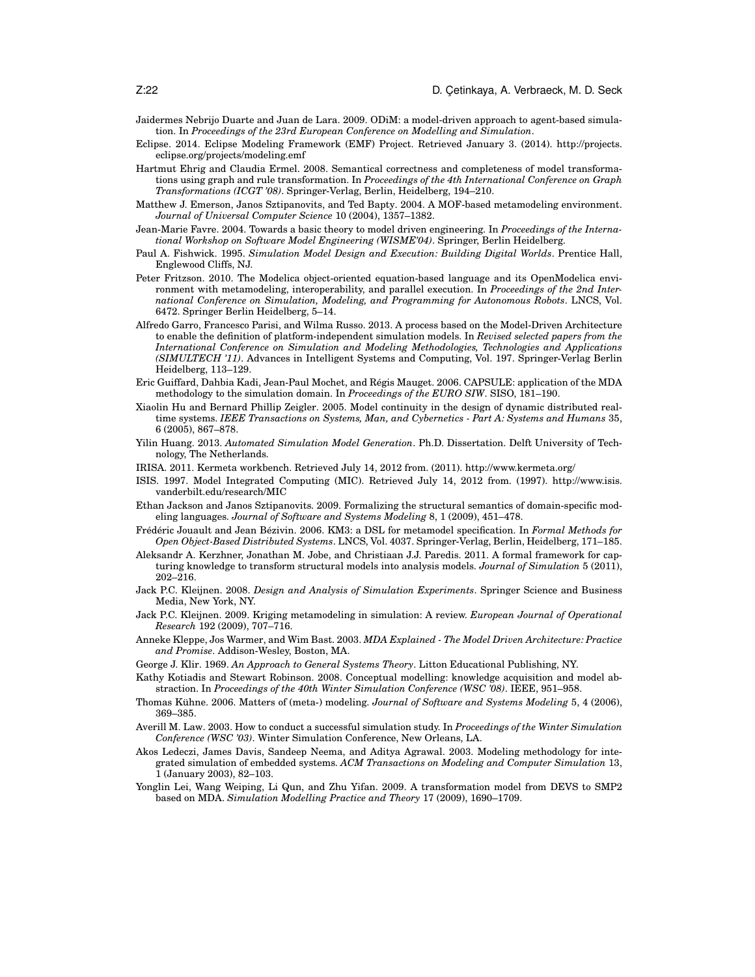- Jaidermes Nebrijo Duarte and Juan de Lara. 2009. ODiM: a model-driven approach to agent-based simulation. In *Proceedings of the 23rd European Conference on Modelling and Simulation*.
- Eclipse. 2014. Eclipse Modeling Framework (EMF) Project. Retrieved January 3. (2014). http://projects. eclipse.org/projects/modeling.emf
- Hartmut Ehrig and Claudia Ermel. 2008. Semantical correctness and completeness of model transformations using graph and rule transformation. In *Proceedings of the 4th International Conference on Graph Transformations (ICGT '08)*. Springer-Verlag, Berlin, Heidelberg, 194–210.
- Matthew J. Emerson, Janos Sztipanovits, and Ted Bapty. 2004. A MOF-based metamodeling environment. *Journal of Universal Computer Science* 10 (2004), 1357–1382.
- Jean-Marie Favre. 2004. Towards a basic theory to model driven engineering. In *Proceedings of the International Workshop on Software Model Engineering (WISME'04)*. Springer, Berlin Heidelberg.
- Paul A. Fishwick. 1995. *Simulation Model Design and Execution: Building Digital Worlds*. Prentice Hall, Englewood Cliffs, NJ.
- Peter Fritzson. 2010. The Modelica object-oriented equation-based language and its OpenModelica environment with metamodeling, interoperability, and parallel execution. In *Proceedings of the 2nd International Conference on Simulation, Modeling, and Programming for Autonomous Robots*. LNCS, Vol. 6472. Springer Berlin Heidelberg, 5–14.
- Alfredo Garro, Francesco Parisi, and Wilma Russo. 2013. A process based on the Model-Driven Architecture to enable the definition of platform-independent simulation models. In *Revised selected papers from the International Conference on Simulation and Modeling Methodologies, Technologies and Applications (SIMULTECH '11)*. Advances in Intelligent Systems and Computing, Vol. 197. Springer-Verlag Berlin Heidelberg, 113–129.
- Eric Guiffard, Dahbia Kadi, Jean-Paul Mochet, and Regis Mauget. 2006. CAPSULE: application of the MDA ´ methodology to the simulation domain. In *Proceedings of the EURO SIW*. SISO, 181–190.
- Xiaolin Hu and Bernard Phillip Zeigler. 2005. Model continuity in the design of dynamic distributed realtime systems. *IEEE Transactions on Systems, Man, and Cybernetics - Part A: Systems and Humans* 35, 6 (2005), 867–878.
- Yilin Huang. 2013. *Automated Simulation Model Generation*. Ph.D. Dissertation. Delft University of Technology, The Netherlands.
- IRISA. 2011. Kermeta workbench. Retrieved July 14, 2012 from. (2011). http://www.kermeta.org/
- ISIS. 1997. Model Integrated Computing (MIC). Retrieved July 14, 2012 from. (1997). http://www.isis. vanderbilt.edu/research/MIC
- Ethan Jackson and Janos Sztipanovits. 2009. Formalizing the structural semantics of domain-specific modeling languages. *Journal of Software and Systems Modeling* 8, 1 (2009), 451–478.
- Frédéric Jouault and Jean Bézivin. 2006. KM3: a DSL for metamodel specification. In *Formal Methods for Open Object-Based Distributed Systems*. LNCS, Vol. 4037. Springer-Verlag, Berlin, Heidelberg, 171–185.
- Aleksandr A. Kerzhner, Jonathan M. Jobe, and Christiaan J.J. Paredis. 2011. A formal framework for capturing knowledge to transform structural models into analysis models. *Journal of Simulation* 5 (2011), 202–216.
- Jack P.C. Kleijnen. 2008. *Design and Analysis of Simulation Experiments*. Springer Science and Business Media, New York, NY.
- Jack P.C. Kleijnen. 2009. Kriging metamodeling in simulation: A review. *European Journal of Operational Research* 192 (2009), 707–716.
- Anneke Kleppe, Jos Warmer, and Wim Bast. 2003. *MDA Explained The Model Driven Architecture: Practice and Promise*. Addison-Wesley, Boston, MA.
- George J. Klir. 1969. *An Approach to General Systems Theory*. Litton Educational Publishing, NY.
- Kathy Kotiadis and Stewart Robinson. 2008. Conceptual modelling: knowledge acquisition and model abstraction. In *Proceedings of the 40th Winter Simulation Conference (WSC '08)*. IEEE, 951–958.
- Thomas Kühne. 2006. Matters of (meta-) modeling. *Journal of Software and Systems Modeling* 5, 4 (2006), 369–385.
- Averill M. Law. 2003. How to conduct a successful simulation study. In *Proceedings of the Winter Simulation Conference (WSC '03)*. Winter Simulation Conference, New Orleans, LA.
- Akos Ledeczi, James Davis, Sandeep Neema, and Aditya Agrawal. 2003. Modeling methodology for integrated simulation of embedded systems. *ACM Transactions on Modeling and Computer Simulation* 13, 1 (January 2003), 82–103.
- Yonglin Lei, Wang Weiping, Li Qun, and Zhu Yifan. 2009. A transformation model from DEVS to SMP2 based on MDA. *Simulation Modelling Practice and Theory* 17 (2009), 1690–1709.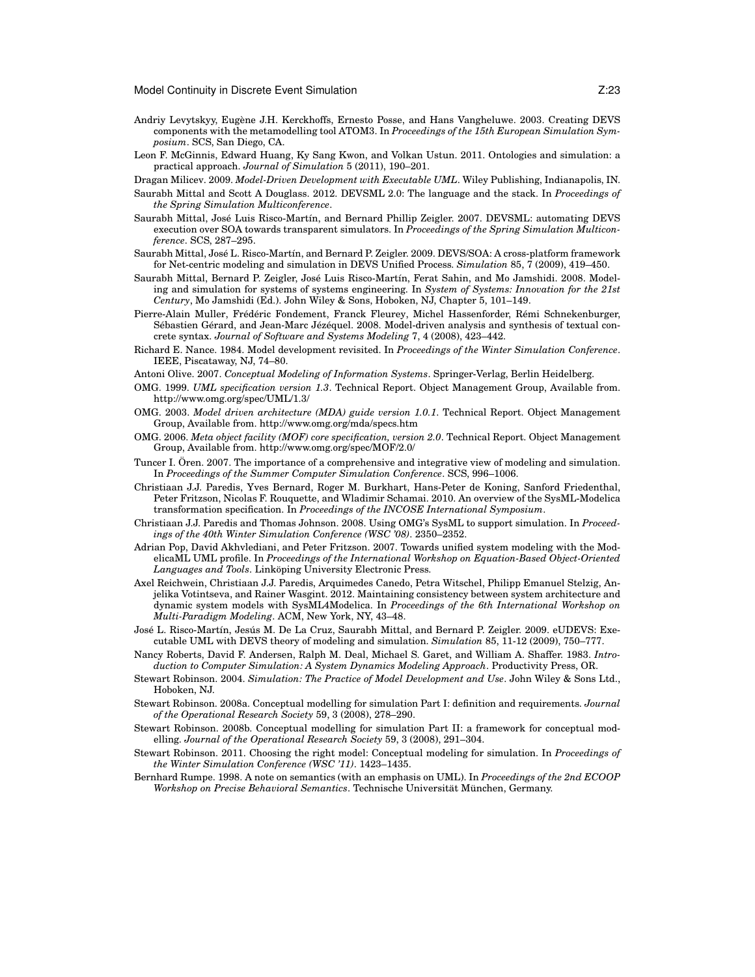- Andriy Levytskyy, Eugene J.H. Kerckhoffs, Ernesto Posse, and Hans Vangheluwe. 2003. Creating DEVS ` components with the metamodelling tool ATOM3. In *Proceedings of the 15th European Simulation Symposium*. SCS, San Diego, CA.
- Leon F. McGinnis, Edward Huang, Ky Sang Kwon, and Volkan Ustun. 2011. Ontologies and simulation: a practical approach. *Journal of Simulation* 5 (2011), 190–201.
- Dragan Milicev. 2009. *Model-Driven Development with Executable UML*. Wiley Publishing, Indianapolis, IN.
- Saurabh Mittal and Scott A Douglass. 2012. DEVSML 2.0: The language and the stack. In *Proceedings of the Spring Simulation Multiconference*.
- Saurabh Mittal, José Luis Risco-Martín, and Bernard Phillip Zeigler. 2007. DEVSML: automating DEVS execution over SOA towards transparent simulators. In *Proceedings of the Spring Simulation Multiconference*. SCS, 287–295.
- Saurabh Mittal, José L. Risco-Martín, and Bernard P. Zeigler. 2009. DEVS/SOA: A cross-platform framework for Net-centric modeling and simulation in DEVS Unified Process. *Simulation* 85, 7 (2009), 419–450.
- Saurabh Mittal, Bernard P. Zeigler, José Luis Risco-Martín, Ferat Sahin, and Mo Jamshidi. 2008. Modeling and simulation for systems of systems engineering. In *System of Systems: Innovation for the 21st Century*, Mo Jamshidi (Ed.). John Wiley & Sons, Hoboken, NJ, Chapter 5, 101–149.
- Pierre-Alain Muller, Frédéric Fondement, Franck Fleurey, Michel Hassenforder, Rémi Schnekenburger, Sébastien Gérard, and Jean-Marc Jézéquel. 2008. Model-driven analysis and synthesis of textual concrete syntax. *Journal of Software and Systems Modeling* 7, 4 (2008), 423–442.
- Richard E. Nance. 1984. Model development revisited. In *Proceedings of the Winter Simulation Conference*. IEEE, Piscataway, NJ, 74–80.
- Antoni Olive. 2007. *Conceptual Modeling of Information Systems*. Springer-Verlag, Berlin Heidelberg.
- OMG. 1999. *UML specification version 1.3*. Technical Report. Object Management Group, Available from. http://www.omg.org/spec/UML/1.3/
- OMG. 2003. *Model driven architecture (MDA) guide version 1.0.1*. Technical Report. Object Management Group, Available from. http://www.omg.org/mda/specs.htm
- OMG. 2006. *Meta object facility (MOF) core specification, version 2.0*. Technical Report. Object Management Group, Available from. http://www.omg.org/spec/MOF/2.0/
- Tuncer I. Ören. 2007. The importance of a comprehensive and integrative view of modeling and simulation. In *Proceedings of the Summer Computer Simulation Conference*. SCS, 996–1006.
- Christiaan J.J. Paredis, Yves Bernard, Roger M. Burkhart, Hans-Peter de Koning, Sanford Friedenthal, Peter Fritzson, Nicolas F. Rouquette, and Wladimir Schamai. 2010. An overview of the SysML-Modelica transformation specification. In *Proceedings of the INCOSE International Symposium*.
- Christiaan J.J. Paredis and Thomas Johnson. 2008. Using OMG's SysML to support simulation. In *Proceedings of the 40th Winter Simulation Conference (WSC '08)*. 2350–2352.
- Adrian Pop, David Akhvlediani, and Peter Fritzson. 2007. Towards unified system modeling with the ModelicaML UML profile. In *Proceedings of the International Workshop on Equation-Based Object-Oriented* Languages and Tools. Linköping University Electronic Press.
- Axel Reichwein, Christiaan J.J. Paredis, Arquimedes Canedo, Petra Witschel, Philipp Emanuel Stelzig, Anjelika Votintseva, and Rainer Wasgint. 2012. Maintaining consistency between system architecture and dynamic system models with SysML4Modelica. In *Proceedings of the 6th International Workshop on Multi-Paradigm Modeling*. ACM, New York, NY, 43–48.
- José L. Risco-Martín, Jesús M. De La Cruz, Saurabh Mittal, and Bernard P. Zeigler. 2009. eUDEVS: Executable UML with DEVS theory of modeling and simulation. *Simulation* 85, 11-12 (2009), 750–777.
- Nancy Roberts, David F. Andersen, Ralph M. Deal, Michael S. Garet, and William A. Shaffer. 1983. *Introduction to Computer Simulation: A System Dynamics Modeling Approach*. Productivity Press, OR.
- Stewart Robinson. 2004. *Simulation: The Practice of Model Development and Use*. John Wiley & Sons Ltd., Hoboken, NJ.
- Stewart Robinson. 2008a. Conceptual modelling for simulation Part I: definition and requirements. *Journal of the Operational Research Society* 59, 3 (2008), 278–290.
- Stewart Robinson. 2008b. Conceptual modelling for simulation Part II: a framework for conceptual modelling. *Journal of the Operational Research Society* 59, 3 (2008), 291–304.
- Stewart Robinson. 2011. Choosing the right model: Conceptual modeling for simulation. In *Proceedings of the Winter Simulation Conference (WSC '11)*. 1423–1435.
- Bernhard Rumpe. 1998. A note on semantics (with an emphasis on UML). In *Proceedings of the 2nd ECOOP Workshop on Precise Behavioral Semantics*. Technische Universität München, Germany.